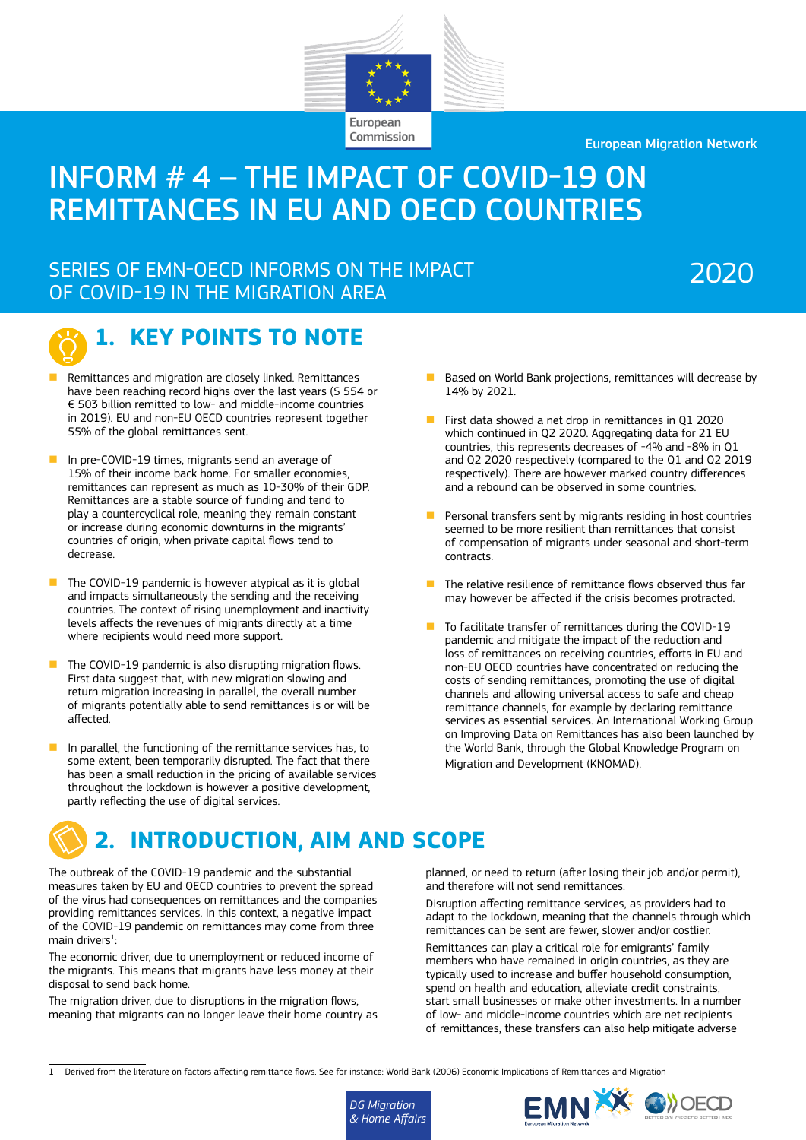

Commission

European Migration Network

# INFORM # 4 – THE IMPACT OF COVID-19 ON REMITTANCES IN EU AND OECD COUNTRIES

## SERIES OF EMN-OECD INFORMS ON THE IMPACT OF COVID-19 IN THE MIGRATION AREA

# 2020



# **1. KEY POINTS TO NOTE**

- n Remittances and migration are closely linked. Remittances have been reaching record highs over the last years (\$ 554 or € 503 billion remitted to low- and middle-income countries in 2019). EU and non-EU OECD countries represent together 55% of the global remittances sent.
- In pre-COVID-19 times, migrants send an average of 15% of their income back home. For smaller economies, remittances can represent as much as 10-30% of their GDP. Remittances are a stable source of funding and tend to play a countercyclical role, meaning they remain constant or increase during economic downturns in the migrants' countries of origin, when private capital flows tend to decrease.
- $\blacksquare$  The COVID-19 pandemic is however atypical as it is global and impacts simultaneously the sending and the receiving countries. The context of rising unemployment and inactivity levels affects the revenues of migrants directly at a time where recipients would need more support.
- $\blacksquare$  The COVID-19 pandemic is also disrupting migration flows. First data suggest that, with new migration slowing and return migration increasing in parallel, the overall number of migrants potentially able to send remittances is or will be affected.
- $\blacksquare$  In parallel, the functioning of the remittance services has, to some extent, been temporarily disrupted. The fact that there has been a small reduction in the pricing of available services throughout the lockdown is however a positive development, partly reflecting the use of digital services.
- Based on World Bank projections, remittances will decrease by 14% by 2021.
- First data showed a net drop in remittances in Q1 2020 which continued in Q2 2020. Aggregating data for 21 EU countries, this represents decreases of -4% and -8% in Q1 and Q2 2020 respectively (compared to the Q1 and Q2 2019 respectively). There are however marked country differences and a rebound can be observed in some countries.
- Personal transfers sent by migrants residing in host countries seemed to be more resilient than remittances that consist of compensation of migrants under seasonal and short-term contracts.
- The relative resilience of remittance flows observed thus far may however be affected if the crisis becomes protracted.
- $\blacksquare$  To facilitate transfer of remittances during the COVID-19 pandemic and mitigate the impact of the reduction and loss of remittances on receiving countries, efforts in EU and non-EU OECD countries have concentrated on reducing the costs of sending remittances, promoting the use of digital channels and allowing universal access to safe and cheap remittance channels, for example by declaring remittance services as essential services. An International Working Group on Improving Data on Remittances has also been launched by the World Bank, through the Global Knowledge Program on Migration and Development (KNOMAD).



The outbreak of the COVID-19 pandemic and the substantial measures taken by EU and OECD countries to prevent the spread of the virus had consequences on remittances and the companies providing remittances services. In this context, a negative impact of the COVID-19 pandemic on remittances may come from three main drivers $1$ :

The economic driver, due to unemployment or reduced income of the migrants. This means that migrants have less money at their disposal to send back home.

The migration driver, due to disruptions in the migration flows, meaning that migrants can no longer leave their home country as planned, or need to return (after losing their job and/or permit), and therefore will not send remittances.

Disruption affecting remittance services, as providers had to adapt to the lockdown, meaning that the channels through which remittances can be sent are fewer, slower and/or costlier. Remittances can play a critical role for emigrants' family members who have remained in origin countries, as they are typically used to increase and buffer household consumption, spend on health and education, alleviate credit constraints, start small businesses or make other investments. In a number of low- and middle-income countries which are net recipients of remittances, these transfers can also help mitigate adverse

<sup>1</sup> Derived from the literature on factors affecting remittance flows. See for instance: World Bank (2006) Economic Implications of Remittances and Migration



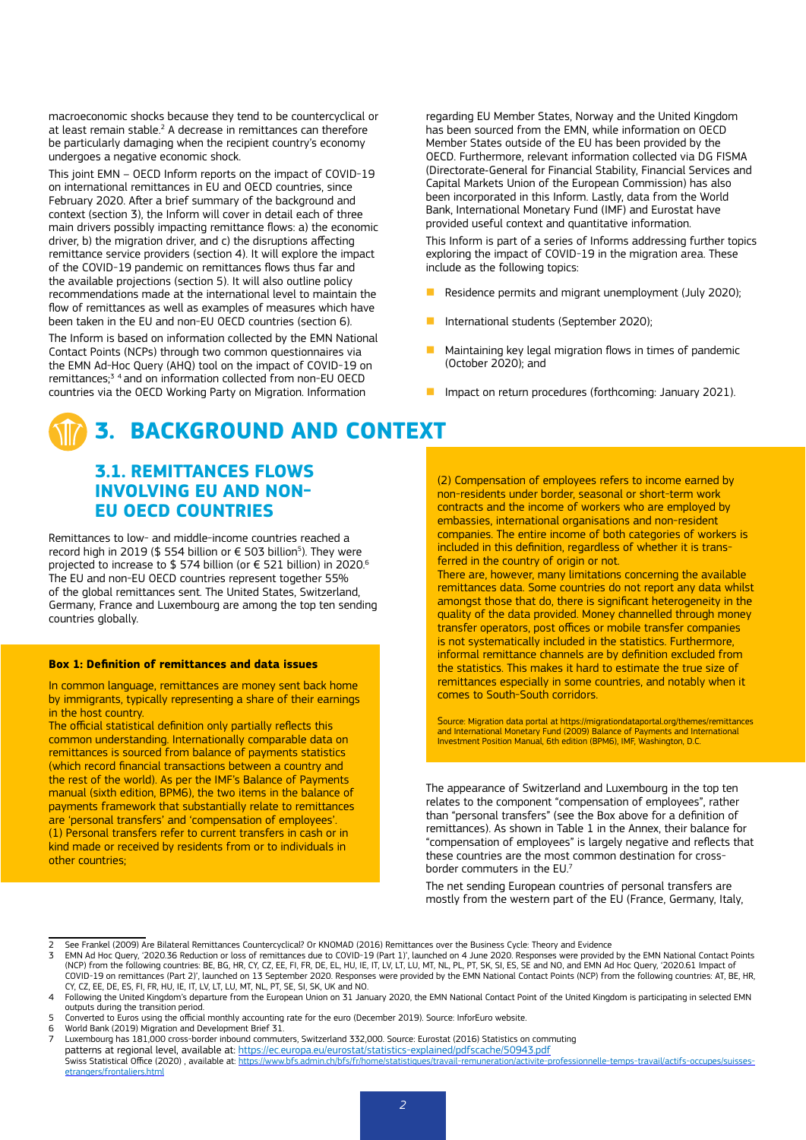macroeconomic shocks because they tend to be countercyclical or at least remain stable.<sup>2</sup> A decrease in remittances can therefore be particularly damaging when the recipient country's economy undergoes a negative economic shock.

This joint EMN – OECD Inform reports on the impact of COVID-19 on international remittances in EU and OECD countries, since February 2020. After a brief summary of the background and context (section 3), the Inform will cover in detail each of three main drivers possibly impacting remittance flows: a) the economic driver, b) the migration driver, and c) the disruptions affecting remittance service providers (section 4). It will explore the impact of the COVID-19 pandemic on remittances flows thus far and the available projections (section 5). It will also outline policy recommendations made at the international level to maintain the flow of remittances as well as examples of measures which have been taken in the EU and non-EU OECD countries (section 6).

The Inform is based on information collected by the EMN National Contact Points (NCPs) through two common questionnaires via the EMN Ad-Hoc Query (AHQ) tool on the impact of COVID-19 on remittances;<sup>3</sup> <sup>4</sup> and on information collected from non-EU OECD countries via the OECD Working Party on Migration. Information

# **3. BACKGROUND AND CONTEXT**

## **3.1. REMITTANCES FLOWS INVOLVING EU AND NON-EU OECD COUNTRIES**

Remittances to low- and middle-income countries reached a record high in 2019 (\$ 554 billion or € 503 billion<sup>5</sup>). They were projected to increase to \$ 574 billion (or € 521 billion) in 2020.<sup>6</sup> The EU and non-EU OECD countries represent together 55% of the global remittances sent. The United States, Switzerland, Germany, France and Luxembourg are among the top ten sending countries globally.

### **Box 1: Definition of remittances and data issues**

In common language, remittances are money sent back home by immigrants, typically representing a share of their earnings in the host country.

The official statistical definition only partially reflects this common understanding. Internationally comparable data on remittances is sourced from balance of payments statistics (which record financial transactions between a country and the rest of the world). As per the IMF's Balance of Payments manual (sixth edition, BPM6), the two items in the balance of payments framework that substantially relate to remittances are 'personal transfers' and 'compensation of employees' (1) Personal transfers refer to current transfers in cash or in kind made or received by residents from or to individuals in other countries;

regarding EU Member States, Norway and the United Kingdom has been sourced from the EMN, while information on OECD Member States outside of the EU has been provided by the OECD. Furthermore, relevant information collected via DG FISMA (Directorate‑General for Financial Stability, Financial Services and Capital Markets Union of the European Commission) has also been incorporated in this Inform. Lastly, data from the World Bank, International Monetary Fund (IMF) and Eurostat have provided useful context and quantitative information.

This Inform is part of a series of Informs addressing further topics exploring the impact of COVID-19 in the migration area. These include as the following topics:

- Residence permits and migrant unemployment (July 2020):
- International students (September 2020);
- n Maintaining key legal migration flows in times of pandemic (October 2020); and
- Impact on return procedures (forthcoming: January 2021).

(2) Compensation of employees refers to income earned by non-residents under border, seasonal or short-term work contracts and the income of workers who are employed by embassies, international organisations and non-resident companies. The entire income of both categories of workers is included in this definition, regardless of whether it is transferred in the country of origin or not.

There are, however, many limitations concerning the available remittances data. Some countries do not report any data whilst amongst those that do, there is significant heterogeneity in the quality of the data provided. Money channelled through money transfer operators, post offices or mobile transfer companies is not systematically included in the statistics. Furthermore, informal remittance channels are by definition excluded from the statistics. This makes it hard to estimate the true size of remittances especially in some countries, and notably when it comes to South-South corridors.

Source: Migration data portal at https://migrationdataportal.org/themes/remittances and International Monetary Fund (2009) Balance of Payments and International Investment Position Manual, 6th edition (BPM6), IMF, Washington, D.C.

The appearance of Switzerland and Luxembourg in the top ten relates to the component "compensation of employees", rather than "personal transfers" (see the Box above for a definition of remittances). As shown in Table 1 in the Annex, their balance for "compensation of employees" is largely negative and reflects that these countries are the most common destination for crossborder commuters in the EU.7

The net sending European countries of personal transfers are mostly from the western part of the EU (France, Germany, Italy,

- World Bank (2019) Migration and Development Brief 31.
- 7 Luxembourg has 181,000 cross-border inbound commuters, Switzerland 332,000. Source: Eurostat (2016) Statistics on commuting patterns at regional level, available at: <u>https://ec.europa.eu/eurostat/statistics-explained/pdfscache/50943.pdf</u><br>Swiss Statistical Office (2020) , available at: <u>https://www.bfs.admin.ch/bfs/fr/home/statistiques/travail-</u> [etrangers/frontaliers.html](https://www.bfs.admin.ch/bfs/fr/home/statistiques/travail-remuneration/activite-professionnelle-temps-travail/actifs-occupes/suisses-etrangers/frontaliers.html)

<sup>2</sup> See Frankel (2009) Are Bilateral Remittances Countercyclical? Or KNOMAD (2016) Remittances over the Business Cycle: Theory and Evidence<br>2 EMN Ad Hoc Query 12020 36 Reduction or loss of remittances due to COVID-19 (Part 1

<sup>3</sup> EMN Ad Hoc Query, '2020.36 Reduction or loss of remittances due to COVID-19 (Part 1)', launched on 4 June 2020. Responses were provided by the EMN National Contact Points (NCP) from the following countries: BE, BG, HR, CY, CZ, EE, FI, FR, DE, EL, HU, IE, IT, LV, LT, LU, MT, NL, PL, PT, SK, SI, ES, SE and NO, and EMN Ad Hoc Query, '2020.61 Impact of COVID-19 on remittances (Part 2)', launched on 13 September 2020. Responses were provided by the EMN National Contact Points (NCP) from the following countries: AT, BE, HR, CY, CZ, EE, DE, ES, FI, FR, HU, IE, IT, LV, LT, LU, MT, NL, PT, SE, SI, SK, UK and NO.

<sup>4</sup> Following the United Kingdom's departure from the European Union on 31 January 2020, the EMN National Contact Point of the United Kingdom is participating in selected EMN outputs during the transition period.

<sup>5</sup> Converted to Euros using the official monthly accounting rate for the euro (December 2019). Source: InforEuro website.<br>6 World Bank (2019) Migration and Development Brief 31.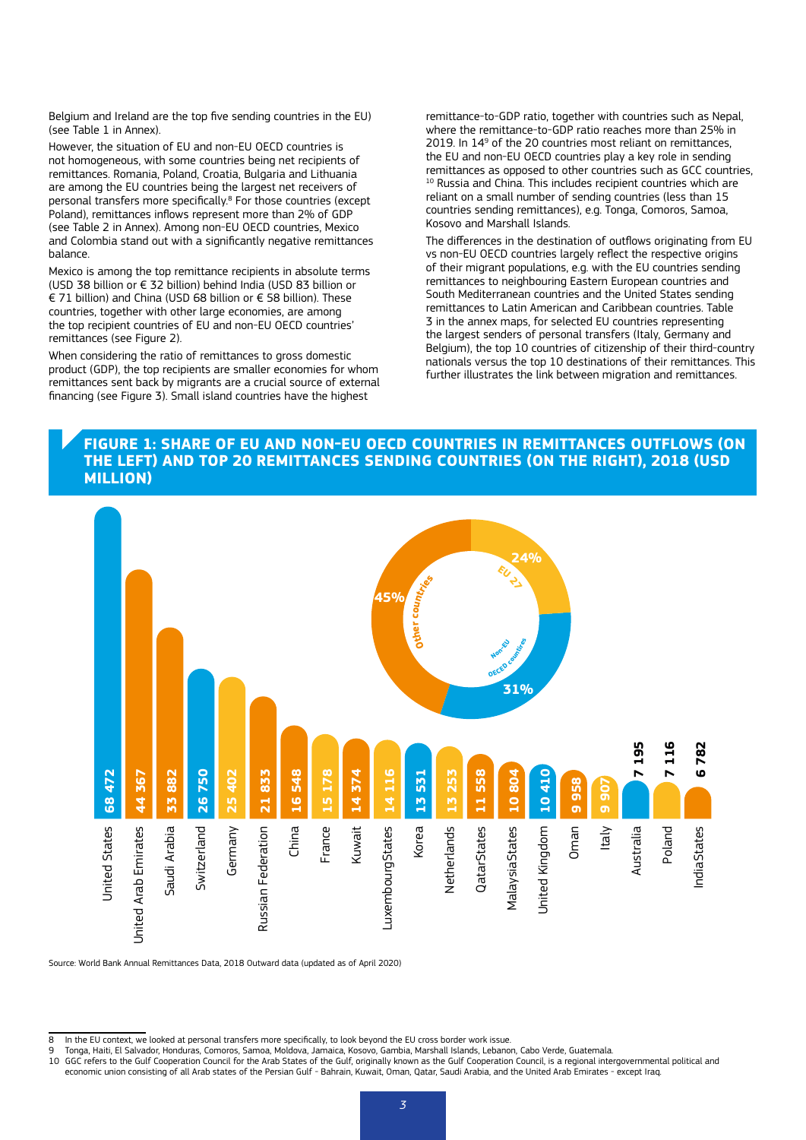Belgium and Ireland are the top five sending countries in the EU) (see Table 1 in Annex).

However, the situation of EU and non-EU OECD countries is not homogeneous, with some countries being net recipients of remittances. Romania, Poland, Croatia, Bulgaria and Lithuania are among the EU countries being the largest net receivers of personal transfers more specifically.<sup>8</sup> For those countries (except Poland), remittances inflows represent more than 2% of GDP (see Table 2 in Annex). Among non-EU OECD countries, Mexico and Colombia stand out with a significantly negative remittances balance.

Mexico is among the top remittance recipients in absolute terms (USD 38 billion or € 32 billion) behind India (USD 83 billion or € 71 billion) and China (USD 68 billion or € 58 billion). These countries, together with other large economies, are among the top recipient countries of EU and non-EU OECD countries' remittances (see Figure 2).

When considering the ratio of remittances to gross domestic product (GDP), the top recipients are smaller economies for whom remittances sent back by migrants are a crucial source of external financing (see Figure 3). Small island countries have the highest

remittance-to-GDP ratio, together with countries such as Nepal, where the remittance-to-GDP ratio reaches more than 25% in 2019. In 14<sup>9</sup> of the 20 countries most reliant on remittances, the EU and non-EU OECD countries play a key role in sending remittances as opposed to other countries such as GCC countries, <sup>10</sup> Russia and China. This includes recipient countries which are reliant on a small number of sending countries (less than 15 countries sending remittances), e.g. Tonga, Comoros, Samoa, Kosovo and Marshall Islands.

The differences in the destination of outflows originating from EU vs non-EU OECD countries largely reflect the respective origins of their migrant populations, e.g. with the EU countries sending remittances to neighbouring Eastern European countries and South Mediterranean countries and the United States sending remittances to Latin American and Caribbean countries. Table 3 in the annex maps, for selected EU countries representing the largest senders of personal transfers (Italy, Germany and Belgium), the top 10 countries of citizenship of their third-country nationals versus the top 10 destinations of their remittances. This further illustrates the link between migration and remittances.

### **FIGURE 1: SHARE OF EU AND NON-EU OECD COUNTRIES IN REMITTANCES OUTFLOWS (ON THE LEFT) AND TOP 20 REMITTANCES SENDING COUNTRIES (ON THE RIGHT), 2018 (USD MILLION)**



Source: World Bank Annual Remittances Data, 2018 Outward data (updated as of April 2020)

economic union consisting of all Arab states of the Persian Gulf - Bahrain, Kuwait, Oman, Qatar, Saudi Arabia, and the United Arab Emirates - except Iraq.

<sup>8</sup> In the EU context, we looked at personal transfers more specifically, to look beyond the EU cross border work issue.

<sup>9</sup> Tonga, Haiti, El Salvador, Honduras, Comoros, Samoa, Moldova, Jamaica, Kosovo, Gambia, Marshall Islands, Lebanon, Cabo Verde, Guatemala.<br>10 GGC refers to the Gulf Cooperation Council for the Arab States of the Gulf,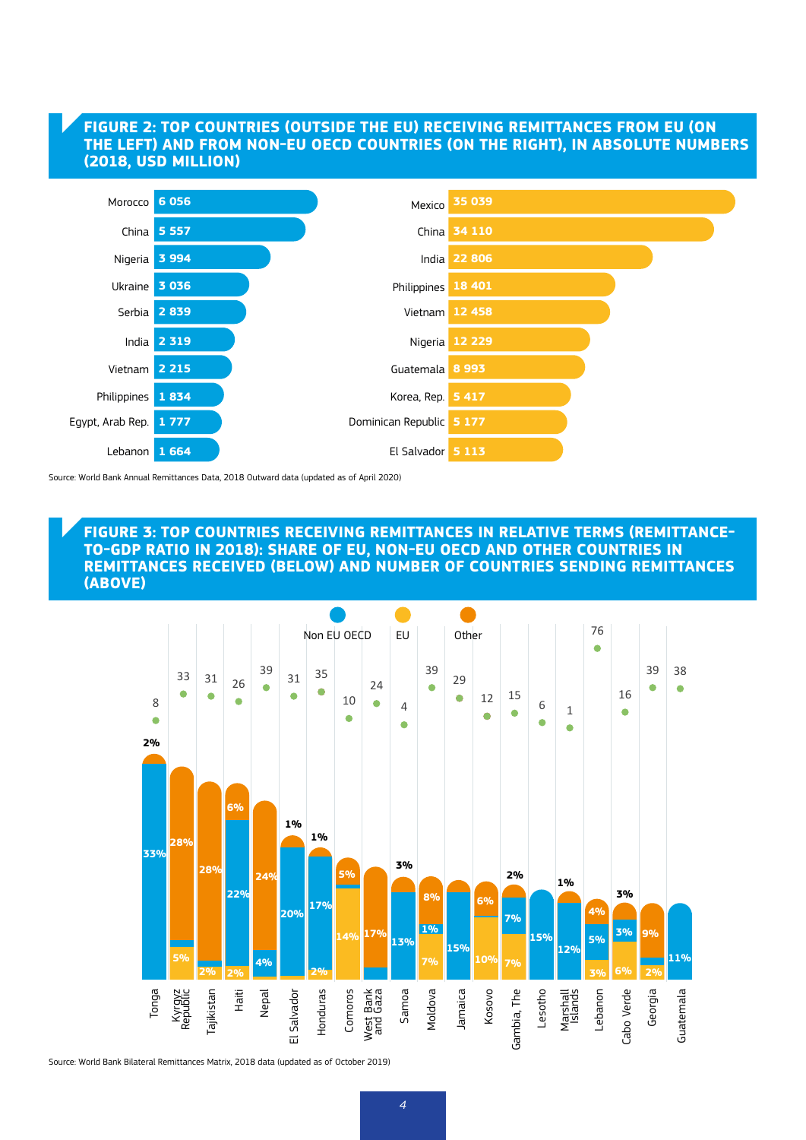## **FIGURE 2: TOP COUNTRIES (OUTSIDE THE EU) RECEIVING REMITTANCES FROM EU (ON THE LEFT) AND FROM NON-EU OECD COUNTRIES (ON THE RIGHT), IN ABSOLUTE NUMBERS (2018, USD MILLION)**



Source: World Bank Annual Remittances Data, 2018 Outward data (updated as of April 2020)

### **FIGURE 3: TOP COUNTRIES RECEIVING REMITTANCES IN RELATIVE TERMS (REMITTANCE-TO-GDP RATIO IN 2018): SHARE OF EU, NON-EU OECD AND OTHER COUNTRIES IN REMITTANCES RECEIVED (BELOW) AND NUMBER OF COUNTRIES SENDING REMITTANCES (ABOVE)**



Source: World Bank Bilateral Remittances Matrix, 2018 data (updated as of October 2019)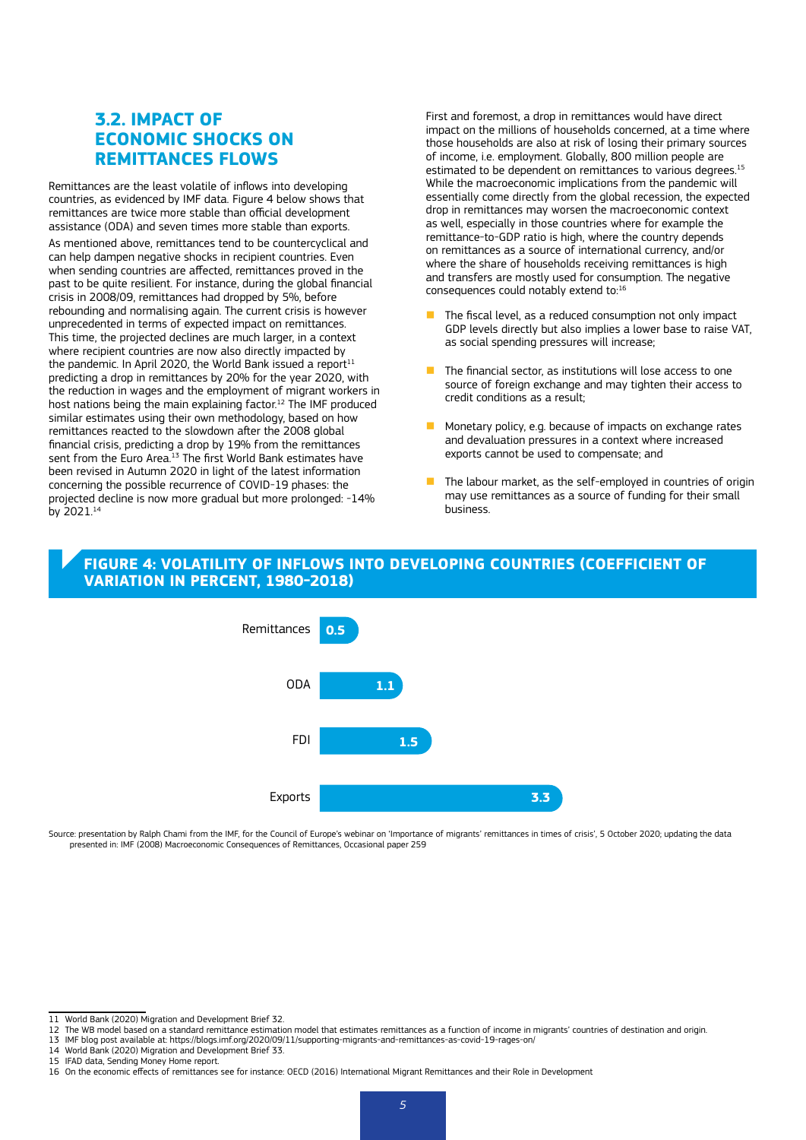## **3.2. IMPACT OF ECONOMIC SHOCKS ON REMITTANCES FLOWS**

Remittances are the least volatile of inflows into developing countries, as evidenced by IMF data. Figure 4 below shows that remittances are twice more stable than official development assistance (ODA) and seven times more stable than exports.

As mentioned above, remittances tend to be countercyclical and can help dampen negative shocks in recipient countries. Even when sending countries are affected, remittances proved in the past to be quite resilient. For instance, during the global financial crisis in 2008/09, remittances had dropped by 5%, before rebounding and normalising again. The current crisis is however unprecedented in terms of expected impact on remittances. This time, the projected declines are much larger, in a context where recipient countries are now also directly impacted by the pandemic. In April 2020, the World Bank issued a report<sup>11</sup> predicting a drop in remittances by 20% for the year 2020, with the reduction in wages and the employment of migrant workers in host nations being the main explaining factor.<sup>12</sup> The IMF produced similar estimates using their own methodology, based on how remittances reacted to the slowdown after the 2008 global financial crisis, predicting a drop by 19% from the remittances sent from the Euro Area.<sup>13</sup> The first World Bank estimates have been revised in Autumn 2020 in light of the latest information concerning the possible recurrence of COVID-19 phases: the projected decline is now more gradual but more prolonged: -14% by 2021.14

First and foremost, a drop in remittances would have direct impact on the millions of households concerned, at a time where those households are also at risk of losing their primary sources of income, i.e. employment. Globally, 800 million people are estimated to be dependent on remittances to various degrees.<sup>15</sup> While the macroeconomic implications from the pandemic will essentially come directly from the global recession, the expected drop in remittances may worsen the macroeconomic context as well, especially in those countries where for example the remittance-to-GDP ratio is high, where the country depends on remittances as a source of international currency, and/or where the share of households receiving remittances is high and transfers are mostly used for consumption. The negative consequences could notably extend to:16

- The fiscal level, as a reduced consumption not only impact GDP levels directly but also implies a lower base to raise VAT, as social spending pressures will increase;
- $\blacksquare$  The financial sector, as institutions will lose access to one source of foreign exchange and may tighten their access to credit conditions as a result;
- n Monetary policy, e.g. because of impacts on exchange rates and devaluation pressures in a context where increased exports cannot be used to compensate; and
- The labour market, as the self-employed in countries of origin may use remittances as a source of funding for their small business.

## **FIGURE 4: VOLATILITY OF INFLOWS INTO DEVELOPING COUNTRIES (COEFFICIENT OF VARIATION IN PERCENT, 1980-2018)**



Source: presentation by Ralph Chami from the IMF, for the Council of Europe's webinar on 'Importance of migrants' remittances in times of crisis', 5 October 2020; updating the data presented in: IMF (2008) Macroeconomic Consequences of Remittances, Occasional paper 259

<sup>11</sup> World Bank (2020) Migration and Development Brief 32.

<sup>12</sup> The WB model based on a standard remittance estimation model that estimates remittances as a function of income in migrants' countries of destination and origin.

<sup>13</sup> IMF blog post available at: https://blogs.imf.org/2020/09/11/supporting-migrants-and-remittances-as-covid-19-rages-on/

<sup>14</sup> World Bank (2020) Migration and Development Brief 33.

<sup>15</sup> IFAD data, Sending Money Home report.

<sup>16</sup> On the economic effects of remittances see for instance: OECD (2016) International Migrant Remittances and their Role in Development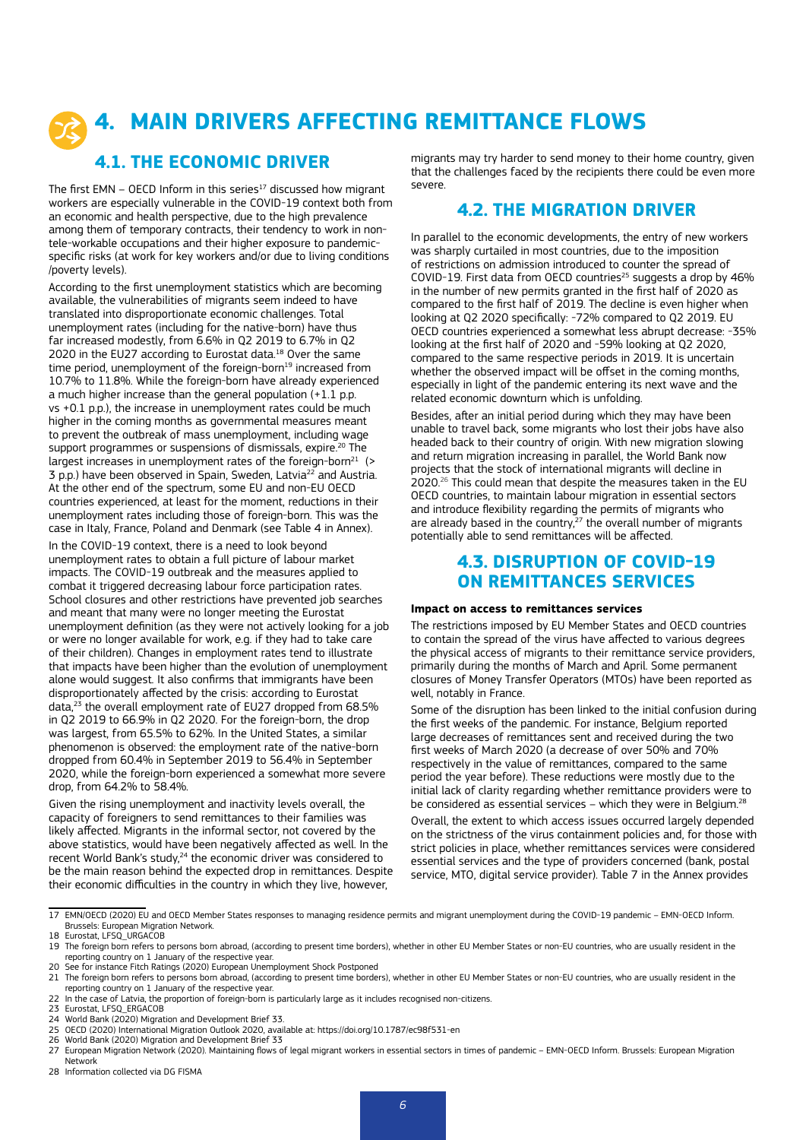# **4. MAIN DRIVERS AFFECTING REMITTANCE FLOWS**

## **4.1. THE ECONOMIC DRIVER**

The first EMN – OECD Inform in this series $17$  discussed how migrant workers are especially vulnerable in the COVID-19 context both from an economic and health perspective, due to the high prevalence among them of temporary contracts, their tendency to work in nontele-workable occupations and their higher exposure to pandemicspecific risks (at work for key workers and/or due to living conditions /poverty levels).

According to the first unemployment statistics which are becoming available, the vulnerabilities of migrants seem indeed to have translated into disproportionate economic challenges. Total unemployment rates (including for the native-born) have thus far increased modestly, from 6.6% in Q2 2019 to 6.7% in Q2 2020 in the EU27 according to Eurostat data.18 Over the same time period, unemployment of the foreign-born<sup>19</sup> increased from 10.7% to 11.8%. While the foreign-born have already experienced a much higher increase than the general population (+1.1 p.p. vs +0.1 p.p.), the increase in unemployment rates could be much higher in the coming months as governmental measures meant to prevent the outbreak of mass unemployment, including wage support programmes or suspensions of dismissals, expire.<sup>20</sup> The largest increases in unemployment rates of the foreign-born<sup>21</sup>  $($ 3 p.p.) have been observed in Spain, Sweden, Latvia22 and Austria. At the other end of the spectrum, some EU and non-EU OECD countries experienced, at least for the moment, reductions in their unemployment rates including those of foreign-born. This was the case in Italy, France, Poland and Denmark (see Table 4 in Annex).

In the COVID-19 context, there is a need to look beyond unemployment rates to obtain a full picture of labour market impacts. The COVID-19 outbreak and the measures applied to combat it triggered decreasing labour force participation rates. School closures and other restrictions have prevented job searches and meant that many were no longer meeting the Eurostat unemployment definition (as they were not actively looking for a job or were no longer available for work, e.g. if they had to take care of their children). Changes in employment rates tend to illustrate that impacts have been higher than the evolution of unemployment alone would suggest. It also confirms that immigrants have been disproportionately affected by the crisis: according to Eurostat data,<sup>23</sup> the overall employment rate of EU27 dropped from 68.5% in Q2 2019 to 66.9% in Q2 2020. For the foreign-born, the drop was largest, from 65.5% to 62%. In the United States, a similar phenomenon is observed: the employment rate of the native-born dropped from 60.4% in September 2019 to 56.4% in September 2020, while the foreign-born experienced a somewhat more severe drop, from 64.2% to 58.4%.

Given the rising unemployment and inactivity levels overall, the capacity of foreigners to send remittances to their families was likely affected. Migrants in the informal sector, not covered by the above statistics, would have been negatively affected as well. In the recent World Bank's study,<sup>24</sup> the economic driver was considered to be the main reason behind the expected drop in remittances. Despite their economic difficulties in the country in which they live, however,

migrants may try harder to send money to their home country, given that the challenges faced by the recipients there could be even more severe.

## **4.2. THE MIGRATION DRIVER**

In parallel to the economic developments, the entry of new workers was sharply curtailed in most countries, due to the imposition of restrictions on admission introduced to counter the spread of COVID-19. First data from OECD countries<sup>25</sup> suggests a drop by 46% in the number of new permits granted in the first half of 2020 as compared to the first half of 2019. The decline is even higher when looking at Q2 2020 specifically: -72% compared to Q2 2019. EU OECD countries experienced a somewhat less abrupt decrease: -35% looking at the first half of 2020 and -59% looking at Q2 2020, compared to the same respective periods in 2019. It is uncertain whether the observed impact will be offset in the coming months, especially in light of the pandemic entering its next wave and the related economic downturn which is unfolding.

Besides, after an initial period during which they may have been unable to travel back, some migrants who lost their jobs have also headed back to their country of origin. With new migration slowing and return migration increasing in parallel, the World Bank now projects that the stock of international migrants will decline in 2020.26 This could mean that despite the measures taken in the EU OECD countries, to maintain labour migration in essential sectors and introduce flexibility regarding the permits of migrants who are already based in the country, $^{27}$  the overall number of migrants potentially able to send remittances will be affected.

## **4.3. DISRUPTION OF COVID-19 ON REMITTANCES SERVICES**

### **Impact on access to remittances services**

The restrictions imposed by EU Member States and OECD countries to contain the spread of the virus have affected to various degrees the physical access of migrants to their remittance service providers, primarily during the months of March and April. Some permanent closures of Money Transfer Operators (MTOs) have been reported as well, notably in France.

Some of the disruption has been linked to the initial confusion during the first weeks of the pandemic. For instance, Belgium reported large decreases of remittances sent and received during the two first weeks of March 2020 (a decrease of over 50% and 70% respectively in the value of remittances, compared to the same period the year before). These reductions were mostly due to the initial lack of clarity regarding whether remittance providers were to be considered as essential services – which they were in Belgium.<sup>28</sup>

Overall, the extent to which access issues occurred largely depended on the strictness of the virus containment policies and, for those with strict policies in place, whether remittances services were considered essential services and the type of providers concerned (bank, postal service, MTO, digital service provider). Table 7 in the Annex provides

- 23 Eurostat, LESO, ERGACOB
- 24 World Bank (2020) Migration and Development Brief 33.

<sup>17</sup> EMN/OECD (2020) EU and OECD Member States responses to managing residence permits and migrant unemployment during the COVID-19 pandemic – EMN-OECD Inform. Brussels: European Migration Network.

<sup>18</sup> Eurostat, LFSO, URGACOB

<sup>19</sup> The foreign born refers to persons born abroad, (according to present time borders), whether in other EU Member States or non-EU countries, who are usually resident in the reporting country on 1 January of the respective year.

<sup>20</sup> See for instance Fitch Ratings (2020) European Unemployment Shock Postponed

<sup>21</sup> The foreign born refers to persons born abroad, (according to present time borders), whether in other EU Member States or non-EU countries, who are usually resident in the reporting country on 1 January of the respective year.

<sup>22</sup> In the case of Latvia, the proportion of foreign-born is particularly large as it includes recognised non-citizens.

<sup>25</sup> OECD (2020) International Migration Outlook 2020, available at: <https://doi.org/10.1787/ec98f531-en>

<sup>26</sup> World Bank (2020) Migration and Development Brief 33<br>27 Euronean Migration Network (2020) Maintaining flows of 27 European Migration Network (2020). Maintaining flows of legal migrant workers in essential sectors in times of pandemic – EMN-OECD Inform. Brussels: European Migration Network

<sup>28</sup> Information collected via DG FISMA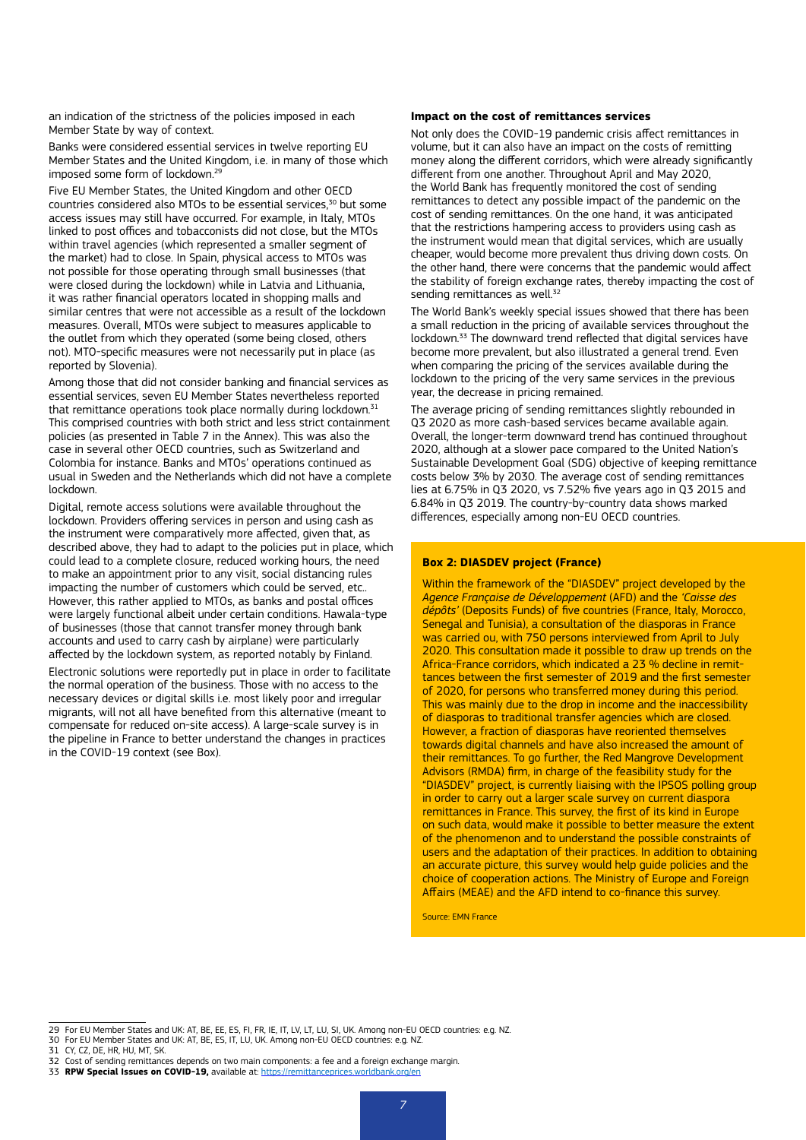an indication of the strictness of the policies imposed in each Member State by way of context.

Banks were considered essential services in twelve reporting EU Member States and the United Kingdom, i.e. in many of those which imposed some form of lockdown.<sup>29</sup>

Five EU Member States, the United Kingdom and other OECD countries considered also MTOs to be essential services.<sup>30</sup> but some access issues may still have occurred. For example, in Italy, MTOs linked to post offices and tobacconists did not close, but the MTOs within travel agencies (which represented a smaller segment of the market) had to close. In Spain, physical access to MTOs was not possible for those operating through small businesses (that were closed during the lockdown) while in Latvia and Lithuania, it was rather financial operators located in shopping malls and similar centres that were not accessible as a result of the lockdown measures. Overall, MTOs were subject to measures applicable to the outlet from which they operated (some being closed, others not). MTO-specific measures were not necessarily put in place (as reported by Slovenia).

Among those that did not consider banking and financial services as essential services, seven EU Member States nevertheless reported that remittance operations took place normally during lockdown.<sup>31</sup> This comprised countries with both strict and less strict containment policies (as presented in Table 7 in the Annex). This was also the case in several other OECD countries, such as Switzerland and Colombia for instance. Banks and MTOs' operations continued as usual in Sweden and the Netherlands which did not have a complete lockdown.

Digital, remote access solutions were available throughout the lockdown. Providers offering services in person and using cash as the instrument were comparatively more affected, given that, as described above, they had to adapt to the policies put in place, which could lead to a complete closure, reduced working hours, the need to make an appointment prior to any visit, social distancing rules impacting the number of customers which could be served, etc.. However, this rather applied to MTOs, as banks and postal offices were largely functional albeit under certain conditions. Hawala-type of businesses (those that cannot transfer money through bank accounts and used to carry cash by airplane) were particularly affected by the lockdown system, as reported notably by Finland.

Electronic solutions were reportedly put in place in order to facilitate the normal operation of the business. Those with no access to the necessary devices or digital skills i.e. most likely poor and irregular migrants, will not all have benefited from this alternative (meant to compensate for reduced on-site access). A large-scale survey is in the pipeline in France to better understand the changes in practices in the COVID-19 context (see Box).

#### **Impact on the cost of remittances services**

Not only does the COVID-19 pandemic crisis affect remittances in volume, but it can also have an impact on the costs of remitting money along the different corridors, which were already significantly different from one another. Throughout April and May 2020, the World Bank has frequently monitored the cost of sending remittances to detect any possible impact of the pandemic on the cost of sending remittances. On the one hand, it was anticipated that the restrictions hampering access to providers using cash as the instrument would mean that digital services, which are usually cheaper, would become more prevalent thus driving down costs. On the other hand, there were concerns that the pandemic would affect the stability of foreign exchange rates, thereby impacting the cost of sending remittances as well.<sup>32</sup>

The World Bank's weekly special issues showed that there has been a small reduction in the pricing of available services throughout the lockdown.33 The downward trend reflected that digital services have become more prevalent, but also illustrated a general trend. Even when comparing the pricing of the services available during the lockdown to the pricing of the very same services in the previous year, the decrease in pricing remained.

The average pricing of sending remittances slightly rebounded in Q3 2020 as more cash-based services became available again. Overall, the longer-term downward trend has continued throughout 2020, although at a slower pace compared to the United Nation's Sustainable Development Goal (SDG) objective of keeping remittance costs below 3% by 2030. The average cost of sending remittances lies at 6.75% in Q3 2020, vs 7.52% five years ago in Q3 2015 and 6.84% in Q3 2019. The country-by-country data shows marked differences, especially among non-EU OECD countries.

### **Box 2: DIASDEV project (France)**

Within the framework of the "DIASDEV" project developed by the *Agence Française de Développement* (AFD) and the *'Caisse des dépôts'* (Deposits Funds) of five countries (France, Italy, Morocco, Senegal and Tunisia), a consultation of the diasporas in France was carried ou, with 750 persons interviewed from April to July 2020. This consultation made it possible to draw up trends on the Africa-France corridors, which indicated a 23 % decline in remittances between the first semester of 2019 and the first semester of 2020, for persons who transferred money during this period. This was mainly due to the drop in income and the inaccessibility of diasporas to traditional transfer agencies which are closed. However, a fraction of diasporas have reoriented themselves towards digital channels and have also increased the amount of their remittances. To go further, the Red Mangrove Development Advisors (RMDA) firm, in charge of the feasibility study for the "DIASDEV" project, is currently liaising with the IPSOS polling group in order to carry out a larger scale survey on current diaspora remittances in France. This survey, the first of its kind in Europe on such data, would make it possible to better measure the extent of the phenomenon and to understand the possible constraints of users and the adaptation of their practices. In addition to obtaining an accurate picture, this survey would help guide policies and the choice of cooperation actions. The Ministry of Europe and Foreign Affairs (MEAE) and the AFD intend to co-finance this survey.

Source: EMN France

<sup>29</sup> For EU Member States and UK: AT, BE, EE, ES, FI, FR, IE, IT, LV, LT, LU, SI, UK. Among non-EU OECD countries: e.g. NZ.

<sup>30</sup> For EU Member States and UK: AT, BE, ES, IT, LU, UK. Among non-EU OECD countries: e.g. NZ.

<sup>31</sup> CY, CZ, DE, HR, HU, MT, SK.

<sup>32</sup> Cost of sending remittances depends on two main components: a fee and a foreign exchange margin.

<sup>33</sup> **RPW Special Issues on COVID-19,** available at:<https://remittanceprices.worldbank.org/en>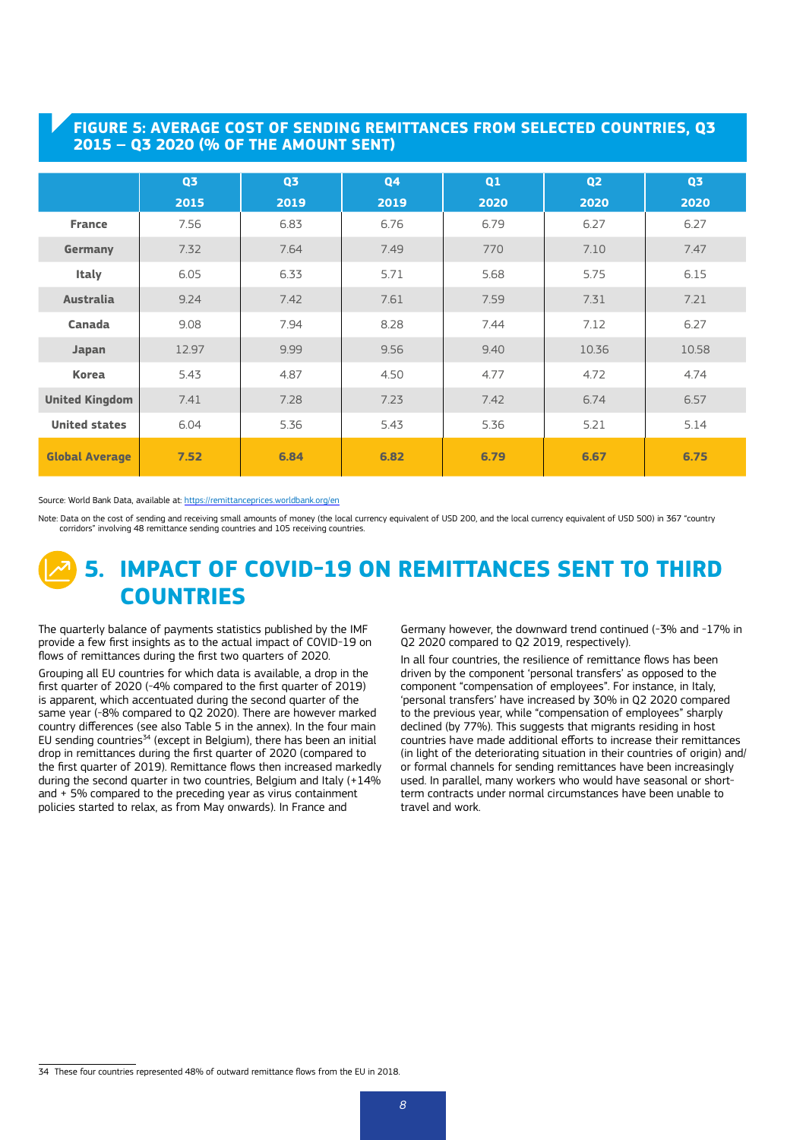## **FIGURE 5: AVERAGE COST OF SENDING REMITTANCES FROM SELECTED COUNTRIES, Q3 2015 – Q3 2020 (% OF THE AMOUNT SENT)**

|                       | Q <sub>3</sub> | Q <sub>3</sub> | Q <sub>4</sub> | Q1   | Q <sub>2</sub> | Q <sub>3</sub> |
|-----------------------|----------------|----------------|----------------|------|----------------|----------------|
|                       | 2015           | 2019           | 2019           | 2020 | 2020           | 2020           |
| <b>France</b>         | 7.56           | 6.83           | 6.76           | 6.79 | 6.27           | 6.27           |
| Germany               | 7.32           | 7.64           | 7.49           | 770  | 7.10           | 7.47           |
| <b>Italy</b>          | 6.05           | 6.33           | 5.71           | 5.68 | 5.75           | 6.15           |
| <b>Australia</b>      | 9.24           | 7.42           | 7.61           | 7.59 | 7.31           | 7.21           |
| Canada                | 9.08           | 7.94           | 8.28           | 7.44 | 7.12           | 6.27           |
| Japan                 | 12.97          | 9.99           | 9.56           | 9.40 | 10.36          | 10.58          |
| <b>Korea</b>          | 5.43           | 4.87           | 4.50           | 4.77 | 4.72           | 4.74           |
| <b>United Kingdom</b> | 7.41           | 7.28           | 7.23           | 7.42 | 6.74           | 6.57           |
| <b>United states</b>  | 6.04           | 5.36           | 5.43           | 5.36 | 5.21           | 5.14           |
| <b>Global Average</b> | 7.52           | 6.84           | 6.82           | 6.79 | 6.67           | 6.75           |

#### Source: World Bank Data, available at:<https://remittanceprices.worldbank.org/en>

Note: Data on the cost of sending and receiving small amounts of money (the local currency equivalent of USD 200, and the local currency equivalent of USD 500) in 367 "country corridors" involving 48 remittance sending countries and 105 receiving countries.

# **5. IMPACT OF COVID-19 ON REMITTANCES SENT TO THIRD COUNTRIES**

The quarterly balance of payments statistics published by the IMF provide a few first insights as to the actual impact of COVID-19 on flows of remittances during the first two quarters of 2020.

Grouping all EU countries for which data is available, a drop in the first quarter of 2020 (-4% compared to the first quarter of 2019) is apparent, which accentuated during the second quarter of the same year (-8% compared to Q2 2020). There are however marked country differences (see also Table 5 in the annex). In the four main EU sending countries<sup>34</sup> (except in Belgium), there has been an initial drop in remittances during the first quarter of 2020 (compared to the first quarter of 2019). Remittance flows then increased markedly during the second quarter in two countries, Belgium and Italy (+14% and + 5% compared to the preceding year as virus containment policies started to relax, as from May onwards). In France and

Germany however, the downward trend continued (-3% and -17% in Q2 2020 compared to Q2 2019, respectively).

In all four countries, the resilience of remittance flows has been driven by the component 'personal transfers' as opposed to the component "compensation of employees". For instance, in Italy, 'personal transfers' have increased by 30% in Q2 2020 compared to the previous year, while "compensation of employees" sharply declined (by 77%). This suggests that migrants residing in host countries have made additional efforts to increase their remittances (in light of the deteriorating situation in their countries of origin) and/ or formal channels for sending remittances have been increasingly used. In parallel, many workers who would have seasonal or shortterm contracts under normal circumstances have been unable to travel and work.

34 These four countries represented 48% of outward remittance flows from the EU in 2018.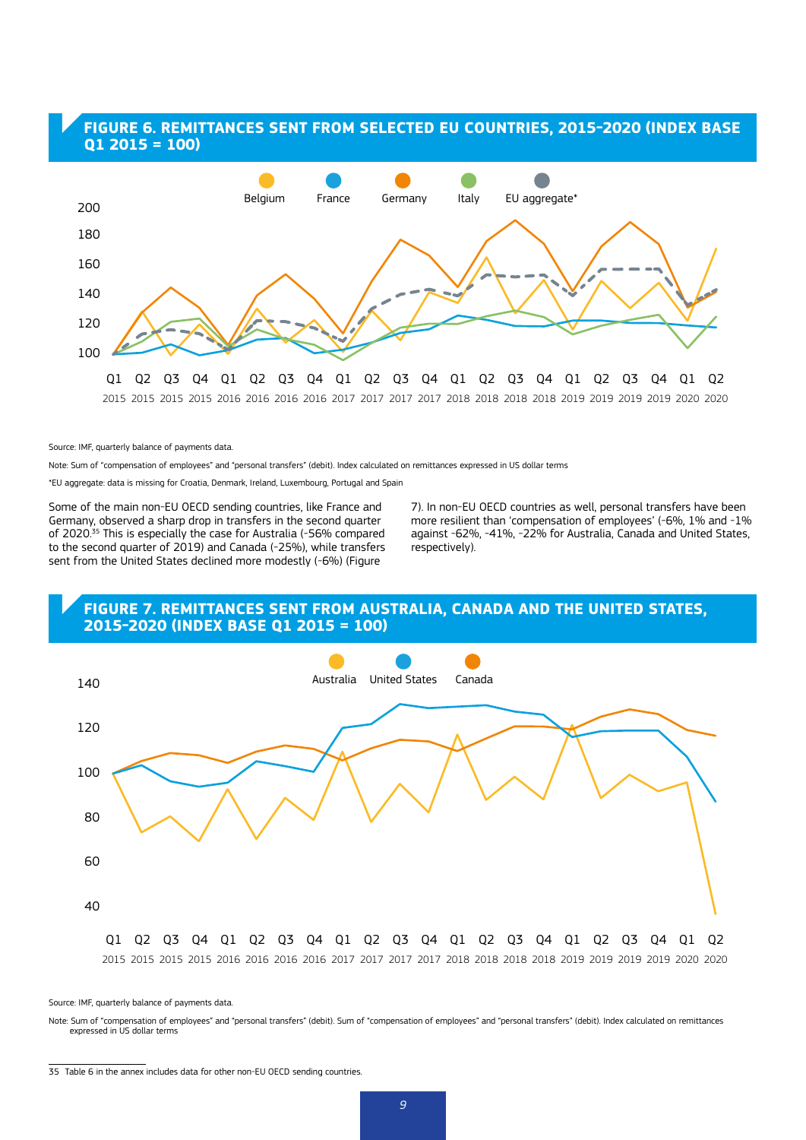### **FIGURE 6. REMITTANCES SENT FROM SELECTED EU COUNTRIES, 2015-2020 (INDEX BASE Q1 2015 = 100)**



Source: IMF, quarterly balance of payments data.

Note: Sum of "compensation of employees" and "personal transfers" (debit). Index calculated on remittances expressed in US dollar terms

\*EU aggregate: data is missing for Croatia, Denmark, Ireland, Luxembourg, Portugal and Spain

Some of the main non-EU OECD sending countries, like France and Germany, observed a sharp drop in transfers in the second quarter of 2020.<sup>35</sup> This is especially the case for Australia (-56% compared to the second quarter of 2019) and Canada (-25%), while transfers sent from the United States declined more modestly (-6%) (Figure

7). In non-EU OECD countries as well, personal transfers have been more resilient than 'compensation of employees' (-6%, 1% and -1% against -62%, -41%, -22% for Australia, Canada and United States, respectively).

### **FIGURE 7. REMITTANCES SENT FROM AUSTRALIA, CANADA AND THE UNITED STATES, 2015-2020 (INDEX BASE Q1 2015 = 100)**



Source: IMF, quarterly balance of payments data.

Note: Sum of "compensation of employees" and "personal transfers" (debit). Sum of "compensation of employees" and "personal transfers" (debit). Index calculated on remittances expressed in US dollar terms

<sup>35</sup> Table 6 in the annex includes data for other non-EU OECD sending countries.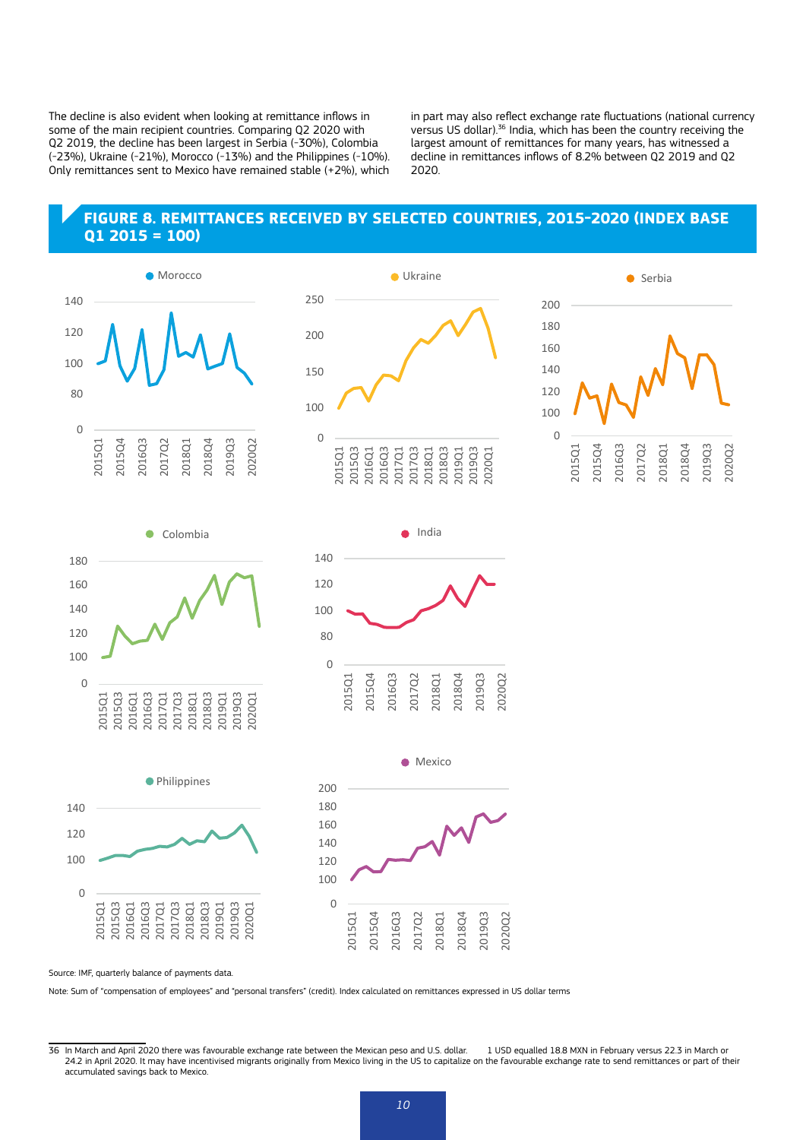The decline is also evident when looking at remittance inflows in some of the main recipient countries. Comparing Q2 2020 with Q2 2019, the decline has been largest in Serbia (-30%), Colombia (-23%), Ukraine (-21%), Morocco (-13%) and the Philippines (-10%). Only remittances sent to Mexico have remained stable (+2%), which in part may also reflect exchange rate fluctuations (national currency versus US dollar).36 India, which has been the country receiving the largest amount of remittances for many years, has witnessed a decline in remittances inflows of 8.2% between Q2 2019 and Q2 2020.

### **FIGURE 8. REMITTANCES RECEIVED BY SELECTED COUNTRIES, 2015-2020 (INDEX BASE Q1 2015 = 100)**











India

●





Source: IMF, quarterly balance of payments data.

Note: Sum of "compensation of employees" and "personal transfers" (credit). Index calculated on remittances expressed in US dollar terms

<sup>36</sup> In March and April 2020 there was favourable exchange rate between the Mexican peso and U.S. dollar. 1 USD equalled 18.8 MXN in February versus 22.3 in March or 24.2 in April 2020. It may have incentivised migrants originally from Mexico living in the US to capitalize on the favourable exchange rate to send remittances or part of their 2020. It may have incentivised migrants origi accumulated savings back to Mexico.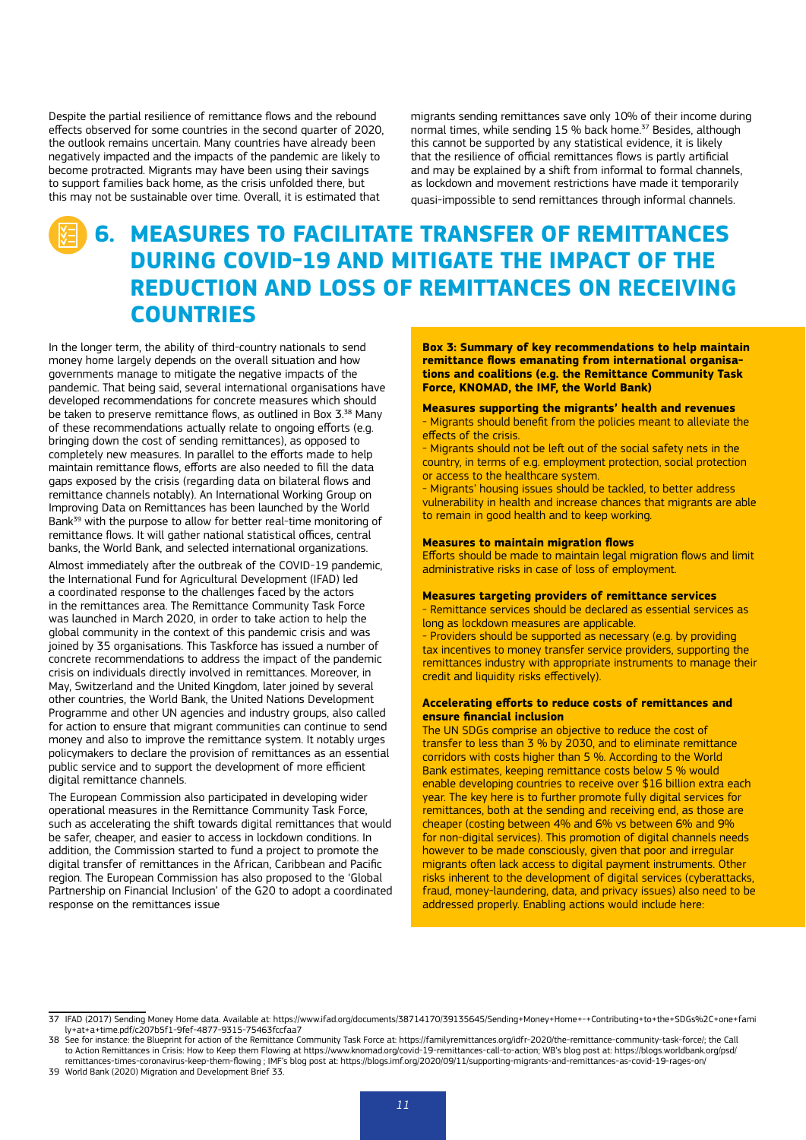Despite the partial resilience of remittance flows and the rebound effects observed for some countries in the second quarter of 2020, the outlook remains uncertain. Many countries have already been negatively impacted and the impacts of the pandemic are likely to become protracted. Migrants may have been using their savings to support families back home, as the crisis unfolded there, but this may not be sustainable over time. Overall, it is estimated that

migrants sending remittances save only 10% of their income during normal times, while sending 15 % back home.<sup>37</sup> Besides, although this cannot be supported by any statistical evidence, it is likely that the resilience of official remittances flows is partly artificial and may be explained by a shift from informal to formal channels, as lockdown and movement restrictions have made it temporarily quasi-impossible to send remittances through informal channels.

# **6. MEASURES TO FACILITATE TRANSFER OF REMITTANCES DURING COVID-19 AND MITIGATE THE IMPACT OF THE REDUCTION AND LOSS OF REMITTANCES ON RECEIVING COUNTRIES**

In the longer term, the ability of third-country nationals to send money home largely depends on the overall situation and how governments manage to mitigate the negative impacts of the pandemic. That being said, several international organisations have developed recommendations for concrete measures which should be taken to preserve remittance flows, as outlined in Box 3.<sup>38</sup> Many of these recommendations actually relate to ongoing efforts (e.g. bringing down the cost of sending remittances), as opposed to completely new measures. In parallel to the efforts made to help maintain remittance flows, efforts are also needed to fill the data gaps exposed by the crisis (regarding data on bilateral flows and remittance channels notably). An International Working Group on Improving Data on Remittances has been launched by the World Bank<sup>39</sup> with the purpose to allow for better real-time monitoring of remittance flows. It will gather national statistical offices, central banks, the World Bank, and selected international organizations.

Almost immediately after the outbreak of the COVID-19 pandemic, the International Fund for Agricultural Development (IFAD) led a coordinated response to the challenges faced by the actors in the remittances area. The Remittance Community Task Force was launched in March 2020, in order to take action to help the global community in the context of this pandemic crisis and was joined by 35 organisations. This Taskforce has issued a number of concrete recommendations to address the impact of the pandemic crisis on individuals directly involved in remittances. Moreover, in May, Switzerland and the United Kingdom, later joined by several other countries, the World Bank, the United Nations Development Programme and other UN agencies and industry groups, also called for action to ensure that migrant communities can continue to send money and also to improve the remittance system. It notably urges policymakers to declare the provision of remittances as an essential public service and to support the development of more efficient digital remittance channels.

The European Commission also participated in developing wider operational measures in the Remittance Community Task Force, such as accelerating the shift towards digital remittances that would be safer, cheaper, and easier to access in lockdown conditions. In addition, the Commission started to fund a project to promote the digital transfer of remittances in the African, Caribbean and Pacific region. The European Commission has also proposed to the 'Global Partnership on Financial Inclusion' of the G20 to adopt a coordinated response on the remittances issue

**Box 3: Summary of key recommendations to help maintain remittance flows emanating from international organisations and coalitions (e.g. the Remittance Community Task Force, KNOMAD, the IMF, the World Bank)**

#### **Measures supporting the migrants' health and revenues**

- Migrants should benefit from the policies meant to alleviate the effects of the crisis.

- Migrants should not be left out of the social safety nets in the country, in terms of e.g. employment protection, social protection or access to the healthcare system.

- Migrants' housing issues should be tackled, to better address vulnerability in health and increase chances that migrants are able to remain in good health and to keep working.

#### **Measures to maintain migration flows**

Efforts should be made to maintain legal migration flows and limit administrative risks in case of loss of employment.

#### **Measures targeting providers of remittance services**

- Remittance services should be declared as essential services as long as lockdown measures are applicable.

- Providers should be supported as necessary (e.g. by providing tax incentives to money transfer service providers, supporting the remittances industry with appropriate instruments to manage their credit and liquidity risks effectively).

### **Accelerating efforts to reduce costs of remittances and ensure financial inclusion**

The UN SDGs comprise an objective to reduce the cost of transfer to less than 3 % by 2030, and to eliminate remittance corridors with costs higher than 5 %. According to the World Bank estimates, keeping remittance costs below 5 % would enable developing countries to receive over \$16 billion extra each year. The key here is to further promote fully digital services for remittances, both at the sending and receiving end, as those are cheaper (costing between 4% and 6% vs between 6% and 9% for non-digital services). This promotion of digital channels needs however to be made consciously, given that poor and irregular migrants often lack access to digital payment instruments. Other risks inherent to the development of digital services (cyberattacks, fraud, money-laundering, data, and privacy issues) also need to be addressed properly. Enabling actions would include here:

<sup>37</sup> IFAD (2017) Sending Money Home data. Available at: https://www.ifad.org/documents/38714170/39135645/Sending+Money+Home+-+Contributing+to+the+SDGs%2C+one+fami ly+at+a+time.pdf/c207b5f1-9fef-4877-9315-75463fccfaa7

<sup>38</sup> See for instance: the Blueprint for action of the Remittance Community Task Force at: https://familyremittances.org/idfr-2020/the-remittance-community-task-force/; the Call to Action Remittances in Crisis: How to Keep them Flowing at [https://www.knomad.org/covid-19-remittances-call-to-action;](https://www.knomad.org/covid-19-remittances-call-to-action) WB's blog post at: https://blogs.worldbank.org/psd,<br>[remittances-times-coronavirus-keep-them-flowing](https://blogs.worldbank.org/psd/remittances-times-coronavirus-keep-them-flowing) ; 39 World Bank (2020) Migration and Development Brief 33.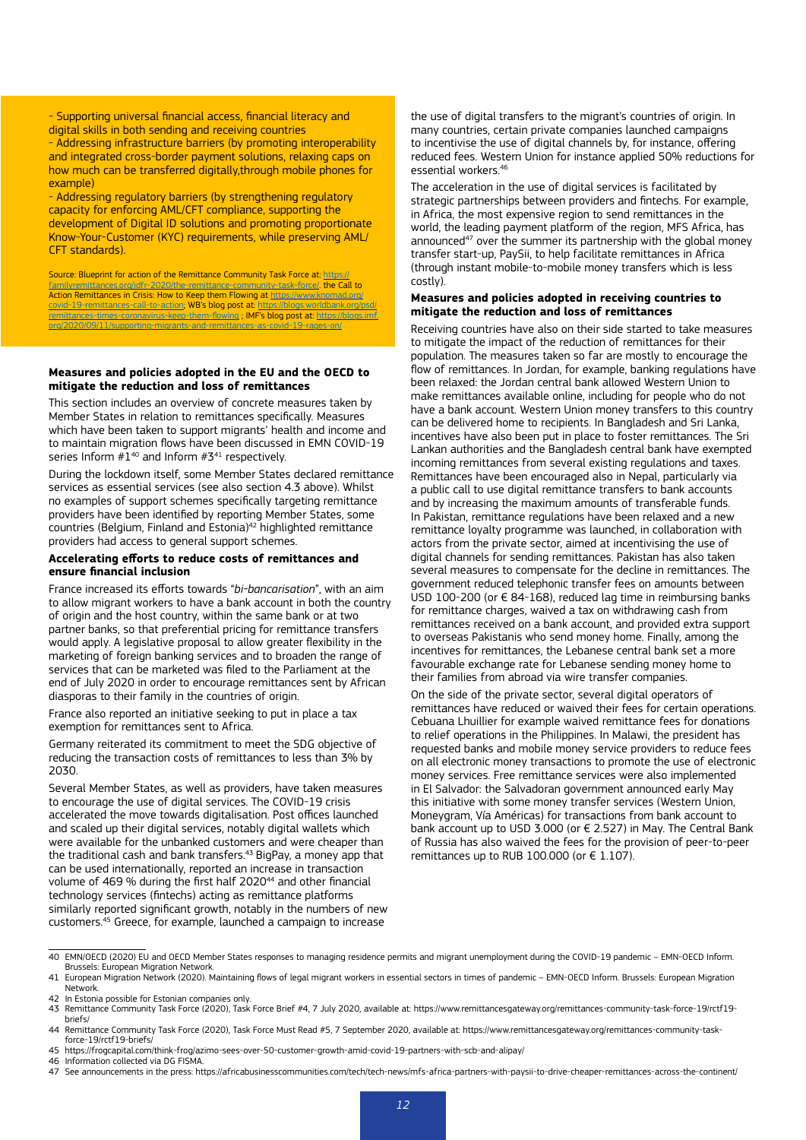- Supporting universal financial access, financial literacy and digital skills in both sending and receiving countries - Addressing infrastructure barriers (by promoting interoperability and integrated cross-border payment solutions, relaxing caps on how much can be transferred digitally,through mobile phones for example)

- Addressing regulatory barriers (by strengthening regulatory capacity for enforcing AML/CFT [compliance](http://www.fatf-gafi.org/publications/fatfgeneral/documents/statement-covid-19.html), supporting the development of Digital ID solutions and promoting proportionate Know-Your-Customer (KYC) requirements, while preserving AML/ CFT standards).

Source: Blueprint for action of the Remittance Community Task Force at: [https://](https://familyremittances.org/idfr-2020/the-remittance-community-task-force/) [familyremittances.org/idfr-2020/the-remittance-community-task-force/.](https://familyremittances.org/idfr-2020/the-remittance-community-task-force/) the Call to Action Remittances in Crisis: How to Keep them Flowing at [https://www.knomad.org/](https://www.knomad.org/covid-19-remittances-call-to-action) [covid-19-remittances-call-to-action;](https://www.knomad.org/covid-19-remittances-call-to-action) WB's blog post at: [https://blogs.worldbank.org/psd/](https://blogs.worldbank.org/psd/remittances-times-coronavirus-keep-them-flowing) [remittances-times-coronavirus-keep-them-flowing](https://blogs.worldbank.org/psd/remittances-times-coronavirus-keep-them-flowing) ; IMF's blog post at: [https://blogs.imf.](https://blogs.imf.org/2020/09/11/supporting-migrants-and-remittances-as-covid-19-rages-on/) [org/2020/09/11/supporting-migrants-and-remittances-as-covid-19-rages-on/](https://blogs.imf.org/2020/09/11/supporting-migrants-and-remittances-as-covid-19-rages-on/)

### **Measures and policies adopted in the EU and the OECD to mitigate the reduction and loss of remittances**

This section includes an overview of concrete measures taken by Member States in relation to remittances specifically. Measures which have been taken to support migrants' health and income and to maintain migration flows have been discussed in EMN COVID-19 series Inform  $\#1^{40}$  and Inform  $\#3^{41}$  respectively.

During the lockdown itself, some Member States declared remittance services as essential services (see also section 4.3 above). Whilst no examples of support schemes specifically targeting remittance providers have been identified by reporting Member States, some countries (Belgium, Finland and Estonia)42 highlighted remittance providers had access to general support schemes.

### **Accelerating efforts to reduce costs of remittances and ensure financial inclusion**

France increased its efforts towards "*bi-bancarisation*", with an aim to allow migrant workers to have a bank account in both the country of origin and the host country, within the same bank or at two partner banks, so that preferential pricing for remittance transfers would apply. A legislative proposal to allow greater flexibility in the marketing of foreign banking services and to broaden the range of services that can be marketed was filed to the Parliament at the end of July 2020 in order to encourage remittances sent by African diasporas to their family in the countries of origin.

France also reported an initiative seeking to put in place a tax exemption for remittances sent to Africa.

Germany reiterated its commitment to meet the SDG objective of reducing the transaction costs of remittances to less than 3% by 2030.

Several Member States, as well as providers, have taken measures to encourage the use of digital services. The COVID-19 crisis accelerated the move towards digitalisation. Post offices launched and scaled up their digital services, notably digital wallets which were available for the unbanked customers and were cheaper than the traditional cash and bank transfers.43 BigPay, a money app that can be used internationally, reported an increase in transaction volume of 469 % during the first half 2020<sup>44</sup> and other financial technology services (fintechs) acting as remittance platforms similarly reported significant growth, notably in the numbers of new customers.45 Greece, for example, launched a campaign to increase

the use of digital transfers to the migrant's countries of origin. In many countries, certain private companies launched campaigns to incentivise the use of digital channels by, for instance, offering reduced fees. Western Union for instance applied 50% reductions for essential workers.46

The acceleration in the use of digital services is facilitated by strategic partnerships between providers and fintechs. For example, in Africa, the most expensive region to send remittances in the world, the leading payment platform of the region, MFS Africa, has announced<sup>47</sup> over the summer its partnership with the global money transfer start-up, PaySii, to help facilitate remittances in Africa (through instant mobile-to-mobile money transfers which is less costly).

### **Measures and policies adopted in receiving countries to mitigate the reduction and loss of remittances**

Receiving countries have also on their side started to take measures to mitigate the impact of the reduction of remittances for their population. The measures taken so far are mostly to encourage the flow of remittances. In Jordan, for example, banking regulations have been relaxed: the Jordan central bank allowed Western Union to make remittances available online, including for people who do not have a bank account. Western Union money transfers to this country can be delivered home to recipients. In Bangladesh and Sri Lanka, incentives have also been put in place to foster remittances. The Sri Lankan authorities and the Bangladesh central bank have exempted incoming remittances from several existing regulations and taxes. Remittances have been encouraged also in Nepal, particularly via a public call to use digital remittance transfers to bank accounts and by increasing the maximum amounts of transferable funds. In Pakistan, remittance regulations have been relaxed and a new remittance loyalty programme was launched, in collaboration with actors from the private sector, aimed at incentivising the use of digital channels for sending remittances. Pakistan has also taken several measures to compensate for the decline in remittances. The government reduced telephonic transfer fees on amounts between USD 100-200 (or € 84-168), reduced lag time in reimbursing banks for remittance charges, waived a tax on withdrawing cash from remittances received on a bank account, and provided extra support to overseas Pakistanis who send money home. Finally, among the incentives for remittances, the Lebanese central bank set a more favourable exchange rate for Lebanese sending money home to their families from abroad via wire transfer companies.

On the side of the private sector, several digital operators of remittances have reduced or waived their fees for certain operations. Cebuana Lhuillier for example waived remittance fees for donations to relief operations in the Philippines. In Malawi, the president has requested banks and mobile money service providers to reduce fees on all electronic money transactions to promote the use of electronic money services. Free remittance services were also implemented in El Salvador: the Salvadoran government announced early May this initiative with some money transfer services (Western Union, Moneygram, Vía Américas) for transactions from bank account to bank account up to USD 3.000 (or € 2.527) in May. The Central Bank of Russia has also waived the fees for the provision of peer-to-peer remittances up to RUB 100.000 (or  $\epsilon$  1.107).

<sup>40</sup> EMN/OECD (2020) EU and OECD Member States responses to managing residence permits and migrant unemployment during the COVID-19 pandemic – EMN-OECD Inform. Brussels: European Migration Network.

<sup>41</sup> European Migration Network (2020). Maintaining flows of legal migrant workers in essential sectors in times of pandemic – EMN-OECD Inform. Brussels: European Migration Network.

<sup>42</sup> In Estonia possible for Estonian companies only.

<sup>43</sup> Remittance Community Task Force (2020), Task Force Brief #4, 7 July 2020, available at: https://www.remittancesgateway.org/remittances-community-task-force-19/rctf19 briefs/

<sup>44</sup> Remittance Community Task Force (2020), Task Force Must Read #5, 7 September 2020, available at: https://www.remittancesgateway.org/remittances-community-taskforce-19/rctf19-briefs/

<sup>45</sup> https://frogcapital.com/think-frog/azimo-sees-over-50-customer-growth-amid-covid-19-partners-with-scb-and-alipay/

<sup>46</sup> Information collected via DG FISMA.

<sup>47</sup> See announcements in the press: https://africabusinesscommunities.com/tech/tech-news/mfs-africa-partners-with-paysii-to-drive-cheaper-remittances-across-the-continent/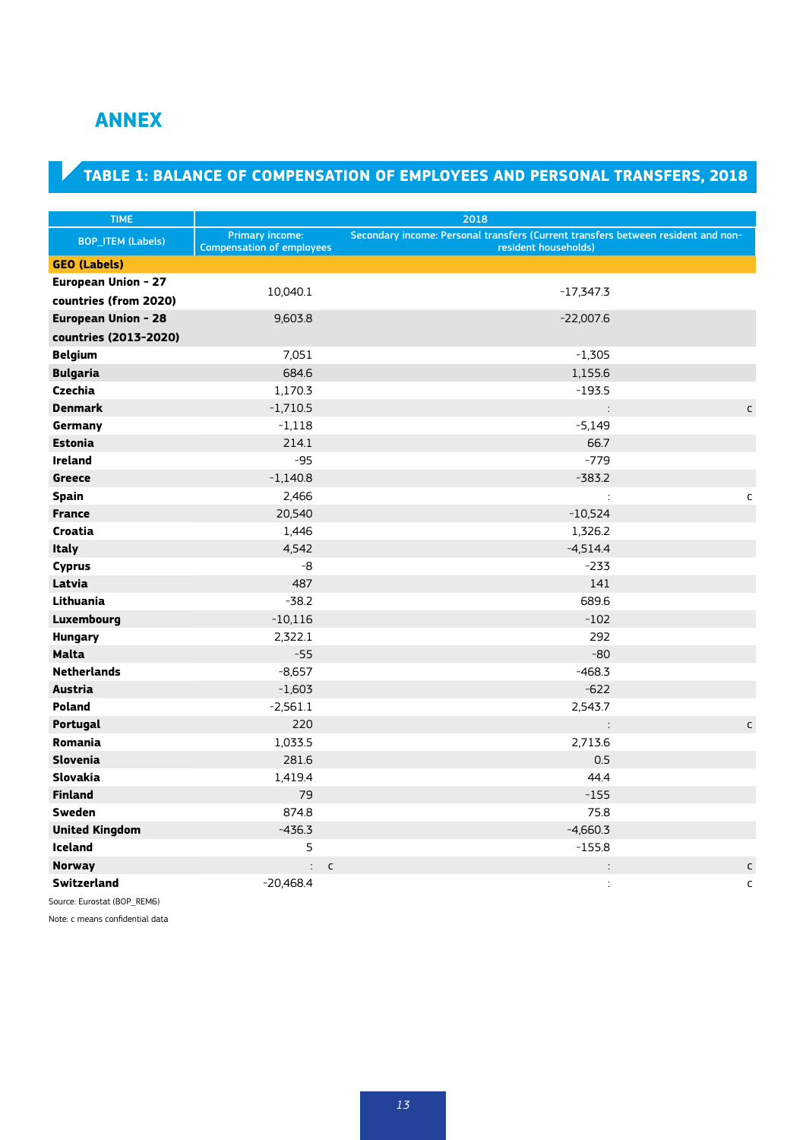## **ANNEX**

## **TABLE 1: BALANCE OF COMPENSATION OF EMPLOYEES AND PERSONAL TRANSFERS, 2018**

| <b>TIME</b>              | 2018                             |                                                                                   |              |  |  |  |
|--------------------------|----------------------------------|-----------------------------------------------------------------------------------|--------------|--|--|--|
|                          | Primary income:                  | Secondary income: Personal transfers (Current transfers between resident and non- |              |  |  |  |
| <b>BOP_ITEM (Labels)</b> | <b>Compensation of employees</b> | resident households)                                                              |              |  |  |  |
| <b>GEO (Labels)</b>      |                                  |                                                                                   |              |  |  |  |
| European Union - 27      | 10,040.1                         | $-17,347.3$                                                                       |              |  |  |  |
| countries (from 2020)    |                                  |                                                                                   |              |  |  |  |
| European Union - 28      | 9,603.8                          | $-22,007.6$                                                                       |              |  |  |  |
| countries (2013-2020)    |                                  |                                                                                   |              |  |  |  |
| <b>Belgium</b>           | 7,051                            | $-1,305$                                                                          |              |  |  |  |
| <b>Bulgaria</b>          | 684.6                            | 1,155.6                                                                           |              |  |  |  |
| <b>Czechia</b>           | 1,170.3                          | $-193.5$                                                                          |              |  |  |  |
| <b>Denmark</b>           | $-1,710.5$                       | $\vdots$                                                                          | C            |  |  |  |
| Germany                  | $-1,118$                         | $-5,149$                                                                          |              |  |  |  |
| <b>Estonia</b>           | 214.1                            | 66.7                                                                              |              |  |  |  |
| <b>Ireland</b>           | $-95$                            | $-779$                                                                            |              |  |  |  |
| <b>Greece</b>            | $-1,140.8$                       | $-383.2$                                                                          |              |  |  |  |
| <b>Spain</b>             | 2,466                            | $\ddot{\cdot}$                                                                    | c            |  |  |  |
| <b>France</b>            | 20,540                           | $-10,524$                                                                         |              |  |  |  |
| Croatia                  | 1,446                            | 1,326.2                                                                           |              |  |  |  |
| <b>Italy</b>             | 4,542                            | $-4,514.4$                                                                        |              |  |  |  |
| <b>Cyprus</b>            | -8                               | $-233$                                                                            |              |  |  |  |
| Latvia                   | 487                              | 141                                                                               |              |  |  |  |
| Lithuania                | $-38.2$                          | 689.6                                                                             |              |  |  |  |
| Luxembourg               | $-10,116$                        | $-102$                                                                            |              |  |  |  |
| <b>Hungary</b>           | 2,322.1                          | 292                                                                               |              |  |  |  |
| <b>Malta</b>             | $-55$                            | $-80$                                                                             |              |  |  |  |
| <b>Netherlands</b>       | $-8,657$                         | $-468.3$                                                                          |              |  |  |  |
| <b>Austria</b>           | $-1,603$                         | $-622$                                                                            |              |  |  |  |
| Poland                   | $-2,561.1$                       | 2,543.7                                                                           |              |  |  |  |
| Portugal                 | 220                              | $\ddot{\cdot}$                                                                    | $\mathsf{C}$ |  |  |  |
| Romania                  | 1,033.5                          | 2,713.6                                                                           |              |  |  |  |
| <b>Slovenia</b>          | 281.6                            | 0.5                                                                               |              |  |  |  |
| Slovakia                 | 1,419.4                          | 44.4                                                                              |              |  |  |  |
| <b>Finland</b>           | 79                               | $-155$                                                                            |              |  |  |  |
| Sweden                   | 874.8                            | 75.8                                                                              |              |  |  |  |
| <b>United Kingdom</b>    | $-436.3$                         | $-4,660.3$                                                                        |              |  |  |  |
| Iceland                  | 5                                | $-155.8$                                                                          |              |  |  |  |
| <b>Norway</b>            | $\ddot{\phantom{0}}$             | $\mathsf{C}$                                                                      | C            |  |  |  |
| Switzerland              | $-20,468.4$                      | $\ddot{\cdot}$                                                                    | $\mathsf{C}$ |  |  |  |

Source: Eurostat (BOP\_REM6)

Note: c means confidential data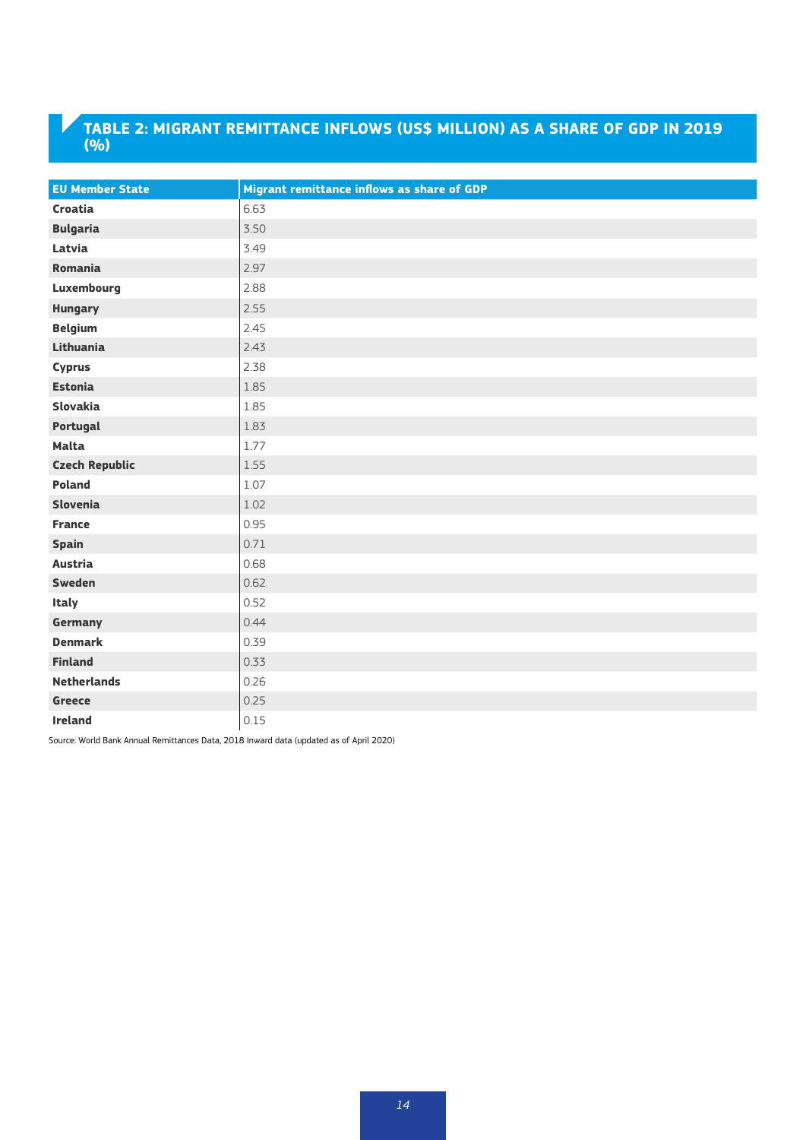## **TABLE 2: MIGRANT REMITTANCE INFLOWS (US\$ MILLION) AS A SHARE OF GDP IN 2019 (%)**

| <b>EU Member State</b> | Migrant remittance inflows as share of GDP |
|------------------------|--------------------------------------------|
| Croatia                | 6.63                                       |
| <b>Bulgaria</b>        | 3.50                                       |
| Latvia                 | 3.49                                       |
| <b>Romania</b>         | 2.97                                       |
| Luxembourg             | 2.88                                       |
| <b>Hungary</b>         | 2.55                                       |
| <b>Belgium</b>         | 2.45                                       |
| Lithuania              | 2.43                                       |
| <b>Cyprus</b>          | 2.38                                       |
| <b>Estonia</b>         | 1.85                                       |
| Slovakia               | 1.85                                       |
| Portugal               | 1.83                                       |
| <b>Malta</b>           | 1.77                                       |
| <b>Czech Republic</b>  | 1.55                                       |
| <b>Poland</b>          | 1.07                                       |
| Slovenia               | 1.02                                       |
| <b>France</b>          | 0.95                                       |
| <b>Spain</b>           | 0.71                                       |
| <b>Austria</b>         | 0.68                                       |
| <b>Sweden</b>          | 0.62                                       |
| <b>Italy</b>           | 0.52                                       |
| Germany                | 0.44                                       |
| <b>Denmark</b>         | 0.39                                       |
| <b>Finland</b>         | 0.33                                       |
| <b>Netherlands</b>     | 0.26                                       |
| <b>Greece</b>          | 0.25                                       |
| <b>Ireland</b>         | 0.15                                       |

Source: World Bank Annual Remittances Data, 2018 Inward data (updated as of April 2020)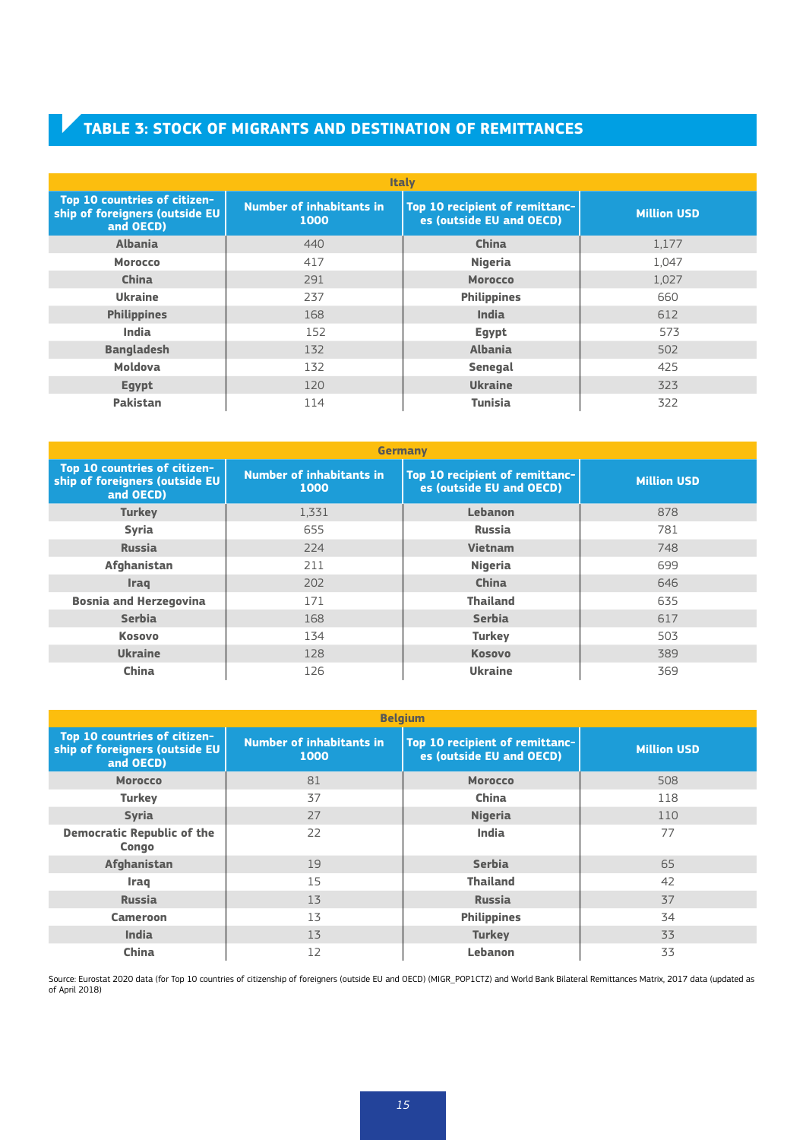## **TABLE 3: STOCK OF MIGRANTS AND DESTINATION OF REMITTANCES**

| <b>Italy</b>                                                                |                                         |                                                            |                    |  |  |  |
|-----------------------------------------------------------------------------|-----------------------------------------|------------------------------------------------------------|--------------------|--|--|--|
| Top 10 countries of citizen-<br>ship of foreigners (outside EU<br>and OECD) | <b>Number of inhabitants in</b><br>1000 | Top 10 recipient of remittanc-<br>es (outside EU and OECD) | <b>Million USD</b> |  |  |  |
| <b>Albania</b>                                                              | 440                                     | China                                                      | 1,177              |  |  |  |
| <b>Morocco</b>                                                              | 417                                     | <b>Nigeria</b>                                             | 1,047              |  |  |  |
| China                                                                       | 291                                     | <b>Morocco</b>                                             | 1,027              |  |  |  |
| <b>Ukraine</b>                                                              | 237                                     | <b>Philippines</b>                                         | 660                |  |  |  |
| <b>Philippines</b>                                                          | 168                                     | <b>India</b>                                               | 612                |  |  |  |
| <b>India</b>                                                                | 152                                     | Egypt                                                      | 573                |  |  |  |
| <b>Bangladesh</b>                                                           | 132                                     | <b>Albania</b>                                             | 502                |  |  |  |
| Moldova                                                                     | 132                                     | Senegal                                                    | 425                |  |  |  |
| <b>Egypt</b>                                                                | 120                                     | <b>Ukraine</b>                                             | 323                |  |  |  |
| <b>Pakistan</b>                                                             | 114                                     | <b>Tunisia</b>                                             | 322                |  |  |  |

| <b>Germany</b>                                                              |                                         |                                                            |                    |  |  |  |  |
|-----------------------------------------------------------------------------|-----------------------------------------|------------------------------------------------------------|--------------------|--|--|--|--|
| Top 10 countries of citizen-<br>ship of foreigners (outside EU<br>and OECD) | <b>Number of inhabitants in</b><br>1000 | Top 10 recipient of remittanc-<br>es (outside EU and OECD) | <b>Million USD</b> |  |  |  |  |
| <b>Turkey</b>                                                               | 1,331                                   | Lebanon                                                    | 878                |  |  |  |  |
| <b>Syria</b>                                                                | 655                                     | <b>Russia</b>                                              | 781                |  |  |  |  |
| <b>Russia</b>                                                               | 224                                     | <b>Vietnam</b>                                             | 748                |  |  |  |  |
| Afghanistan                                                                 | 211                                     | <b>Nigeria</b>                                             | 699                |  |  |  |  |
| <b>Iraq</b>                                                                 | 202                                     | China                                                      | 646                |  |  |  |  |
| <b>Bosnia and Herzegovina</b>                                               | 171                                     | <b>Thailand</b>                                            | 635                |  |  |  |  |
| <b>Serbia</b>                                                               | 168                                     | <b>Serbia</b>                                              | 617                |  |  |  |  |
| <b>Kosovo</b>                                                               | 134                                     | <b>Turkey</b>                                              | 503                |  |  |  |  |
| <b>Ukraine</b>                                                              | 128                                     | <b>Kosovo</b>                                              | 389                |  |  |  |  |
| China                                                                       | 126                                     | <b>Ukraine</b>                                             | 369                |  |  |  |  |

| <b>Belgium</b>                                                                                                                                                                       |    |                    |     |  |  |  |  |
|--------------------------------------------------------------------------------------------------------------------------------------------------------------------------------------|----|--------------------|-----|--|--|--|--|
| Top 10 countries of citizen-<br><b>Number of inhabitants in</b><br>Top 10 recipient of remittanc-<br>ship of foreigners (outside EU<br>es (outside EU and OECD)<br>1000<br>and OECD) |    | <b>Million USD</b> |     |  |  |  |  |
| <b>Morocco</b>                                                                                                                                                                       | 81 | <b>Morocco</b>     | 508 |  |  |  |  |
| <b>Turkey</b>                                                                                                                                                                        | 37 | China              | 118 |  |  |  |  |
| <b>Syria</b>                                                                                                                                                                         | 27 | <b>Nigeria</b>     | 110 |  |  |  |  |
| <b>Democratic Republic of the</b><br>Congo                                                                                                                                           | 22 | <b>India</b>       | 77  |  |  |  |  |
| Afghanistan                                                                                                                                                                          | 19 | <b>Serbia</b>      | 65  |  |  |  |  |
| Iraq                                                                                                                                                                                 | 15 | <b>Thailand</b>    | 42  |  |  |  |  |
| <b>Russia</b>                                                                                                                                                                        | 13 | <b>Russia</b>      | 37  |  |  |  |  |
| <b>Cameroon</b>                                                                                                                                                                      | 13 | <b>Philippines</b> | 34  |  |  |  |  |
| <b>India</b>                                                                                                                                                                         | 13 | <b>Turkey</b>      | 33  |  |  |  |  |
| China                                                                                                                                                                                | 12 | Lebanon            | 33  |  |  |  |  |

Source: Eurostat 2020 data (for Top 10 countries of citizenship of foreigners (outside EU and OECD) (MIGR\_POP1CTZ) and World Bank Bilateral Remittances Matrix, 2017 data (updated as of April 2018)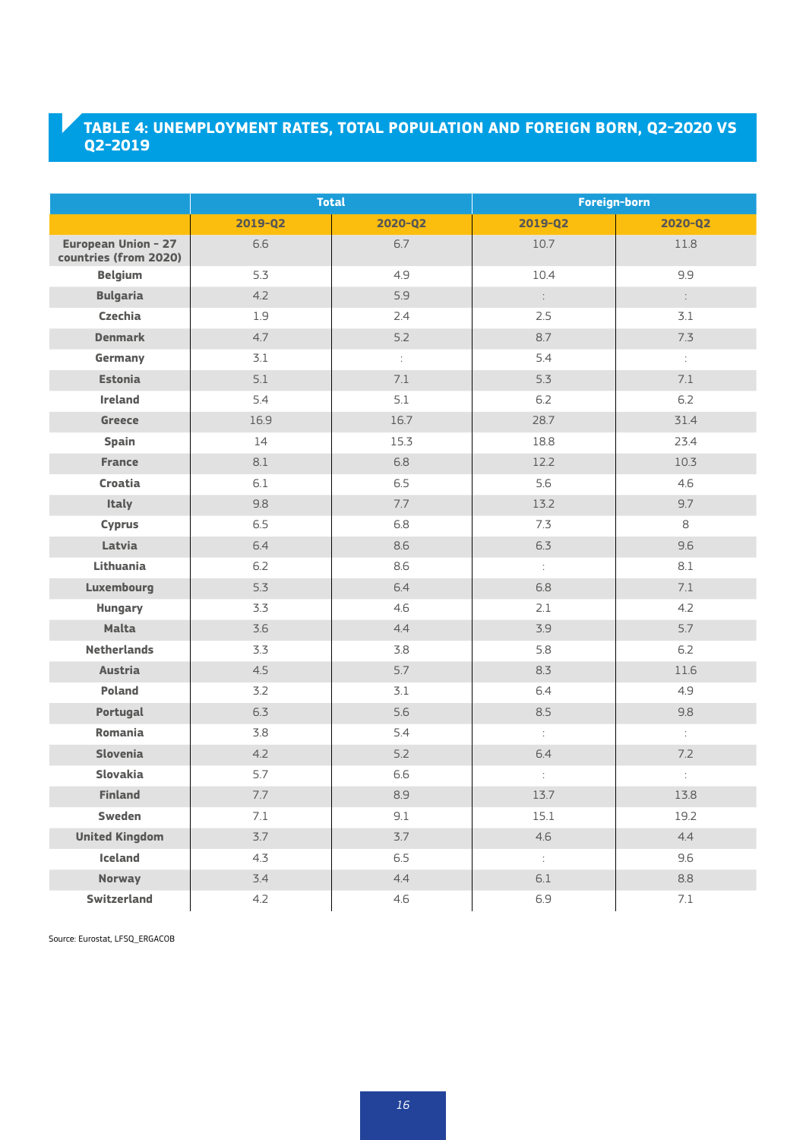## **TABLE 4: UNEMPLOYMENT RATES, TOTAL POPULATION AND FOREIGN BORN, Q2-2020 VS Q2-2019**

|                                              | <b>Total</b> |                      | Foreign-born                |                       |
|----------------------------------------------|--------------|----------------------|-----------------------------|-----------------------|
|                                              | 2019-Q2      | 2020-Q2              | 2019-Q2                     | 2020-Q2               |
| European Union - 27<br>countries (from 2020) | 6.6          | 6.7                  | 10.7                        | 11.8                  |
| <b>Belgium</b>                               | 5.3          | 4.9                  | 10.4                        | 9.9                   |
| <b>Bulgaria</b>                              | 4.2          | 5.9                  | $\ddot{\cdot}$              | $\mathbb{C}^{\times}$ |
| Czechia                                      | 1.9          | 2.4                  | 2.5                         | 3.1                   |
| <b>Denmark</b>                               | 4.7          | 5.2                  | 8.7                         | 7.3                   |
| Germany                                      | 3.1          | $\ddot{\phantom{a}}$ | 5.4                         | $\mathbb{C}^{\times}$ |
| <b>Estonia</b>                               | 5.1          | $7.1\,$              | 5.3                         | $7.1\,$               |
| Ireland                                      | 5.4          | 5.1                  | 6.2                         | 6.2                   |
| <b>Greece</b>                                | 16.9         | 16.7                 | 28.7                        | 31.4                  |
| <b>Spain</b>                                 | 14           | 15.3                 | 18.8                        | 23.4                  |
| <b>France</b>                                | $8.1\,$      | 6.8                  | 12.2                        | 10.3                  |
| Croatia                                      | 6.1          | 6.5                  | 5.6                         | 4.6                   |
| <b>Italy</b>                                 | 9.8          | 7.7                  | 13.2                        | 9.7                   |
| <b>Cyprus</b>                                | 6.5          | 6.8                  | 7.3                         | 8                     |
| Latvia                                       | 6.4          | 8.6                  | 6.3                         | 9.6                   |
| Lithuania                                    | 6.2          | 8.6                  | $\ddot{\ddot{\varepsilon}}$ | 8.1                   |
| <b>Luxembourg</b>                            | 5.3          | 6.4                  | 6.8                         | 7.1                   |
| <b>Hungary</b>                               | 3.3          | 4.6                  | 2.1                         | 4.2                   |
| <b>Malta</b>                                 | 3.6          | 4.4                  | 3.9                         | 5.7                   |
| <b>Netherlands</b>                           | 3.3          | 3.8                  | 5.8                         | 6.2                   |
| <b>Austria</b>                               | 4.5          | 5.7                  | 8.3                         | 11.6                  |
| Poland                                       | 3.2          | 3.1                  | 6.4                         | 4.9                   |
| Portugal                                     | 6.3          | 5.6                  | 8.5                         | 9.8                   |
| Romania                                      | 3.8          | 5.4                  | $\ddot{\cdot}$              | $\mathbb{C}^{\times}$ |
| Slovenia                                     | 4.2          | 5.2                  | 6.4                         | 7.2                   |
| Slovakia                                     | 5.7          | 6.6                  | $\ddot{\phantom{a}}$        | $\ddot{\phantom{a}}$  |
| Finland                                      | 7.7          | 8.9                  | 13.7                        | 13.8                  |
| Sweden                                       | 7.1          | 9.1                  | 15.1                        | 19.2                  |
| <b>United Kingdom</b>                        | 3.7          | 3.7                  | 4.6                         | 4.4                   |
| Iceland                                      | 4.3          | 6.5                  | $\mathbb{C}^{\mathbb{Z}}$   | 9.6                   |
| <b>Norway</b>                                | 3.4          | 4.4                  | $6.1\,$                     | 8.8                   |
| Switzerland                                  | 4.2          | 4.6                  | 6.9                         | 7.1                   |

Source: Eurostat, LFSQ\_ERGACOB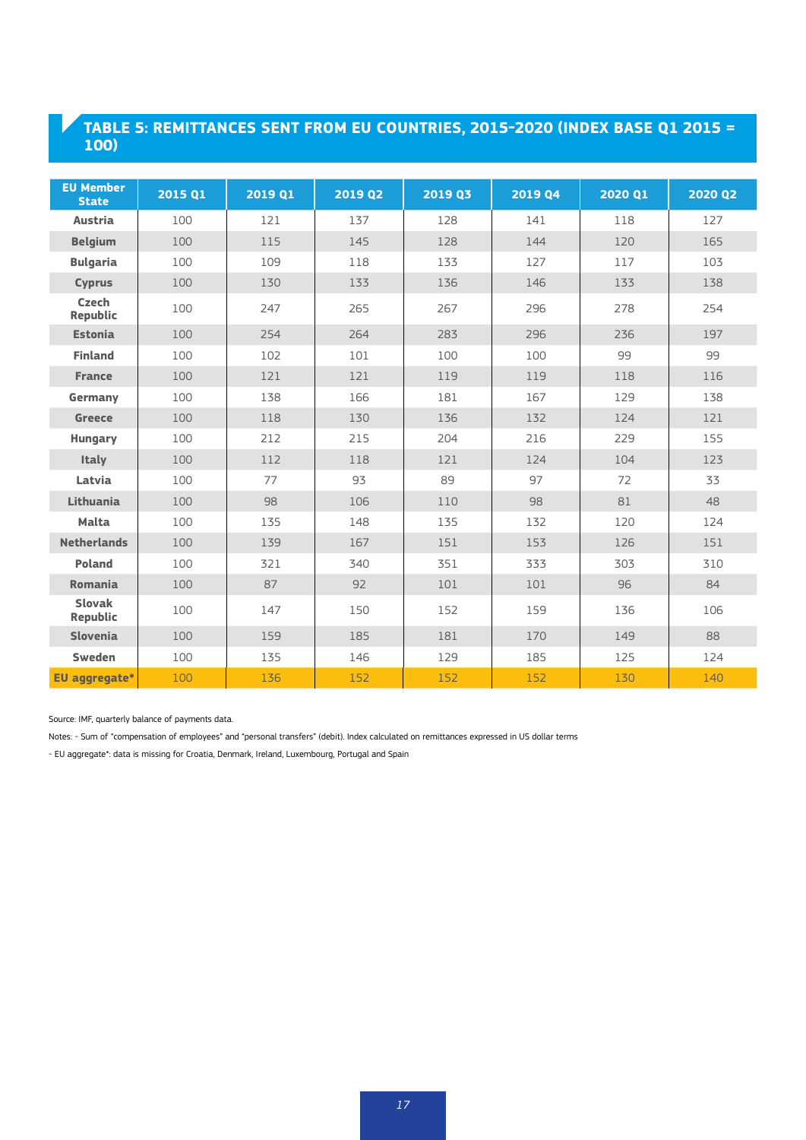## **TABLE 5: REMITTANCES SENT FROM EU COUNTRIES, 2015-2020 (INDEX BASE Q1 2015 = 100)**

| <b>EU Member</b><br><b>State</b> | 2015 Q1 | 2019 Q1 | 2019 Q2 | 2019 Q3 | 2019 Q4 | 2020 Q1 | 2020 Q2 |
|----------------------------------|---------|---------|---------|---------|---------|---------|---------|
| <b>Austria</b>                   | 100     | 121     | 137     | 128     | 141     | 118     | 127     |
| <b>Belgium</b>                   | 100     | 115     | 145     | 128     | 144     | 120     | 165     |
| <b>Bulgaria</b>                  | 100     | 109     | 118     | 133     | 127     | 117     | 103     |
| <b>Cyprus</b>                    | 100     | 130     | 133     | 136     | 146     | 133     | 138     |
| <b>Czech</b><br>Republic         | 100     | 247     | 265     | 267     | 296     | 278     | 254     |
| <b>Estonia</b>                   | 100     | 254     | 264     | 283     | 296     | 236     | 197     |
| <b>Finland</b>                   | 100     | 102     | 101     | 100     | 100     | 99      | 99      |
| <b>France</b>                    | 100     | 121     | 121     | 119     | 119     | 118     | 116     |
| Germany                          | 100     | 138     | 166     | 181     | 167     | 129     | 138     |
| <b>Greece</b>                    | 100     | 118     | 130     | 136     | 132     | 124     | 121     |
| <b>Hungary</b>                   | 100     | 212     | 215     | 204     | 216     | 229     | 155     |
| Italy                            | 100     | 112     | 118     | 121     | 124     | 104     | 123     |
| Latvia                           | 100     | 77      | 93      | 89      | 97      | 72      | 33      |
| Lithuania                        | 100     | 98      | 106     | 110     | 98      | 81      | 48      |
| <b>Malta</b>                     | 100     | 135     | 148     | 135     | 132     | 120     | 124     |
| <b>Netherlands</b>               | 100     | 139     | 167     | 151     | 153     | 126     | 151     |
| Poland                           | 100     | 321     | 340     | 351     | 333     | 303     | 310     |
| Romania                          | 100     | 87      | 92      | 101     | 101     | 96      | 84      |
| <b>Slovak</b><br>Republic        | 100     | 147     | 150     | 152     | 159     | 136     | 106     |
| Slovenia                         | 100     | 159     | 185     | 181     | 170     | 149     | 88      |
| Sweden                           | 100     | 135     | 146     | 129     | 185     | 125     | 124     |
| <b>EU</b> aggregate*             | 100     | 136     | 152     | 152     | 152     | 130     | 140     |

Source: IMF, quarterly balance of payments data.

Notes: - Sum of "compensation of employees" and "personal transfers" (debit). Index calculated on remittances expressed in US dollar terms

- EU aggregate\*: data is missing for Croatia, Denmark, Ireland, Luxembourg, Portugal and Spain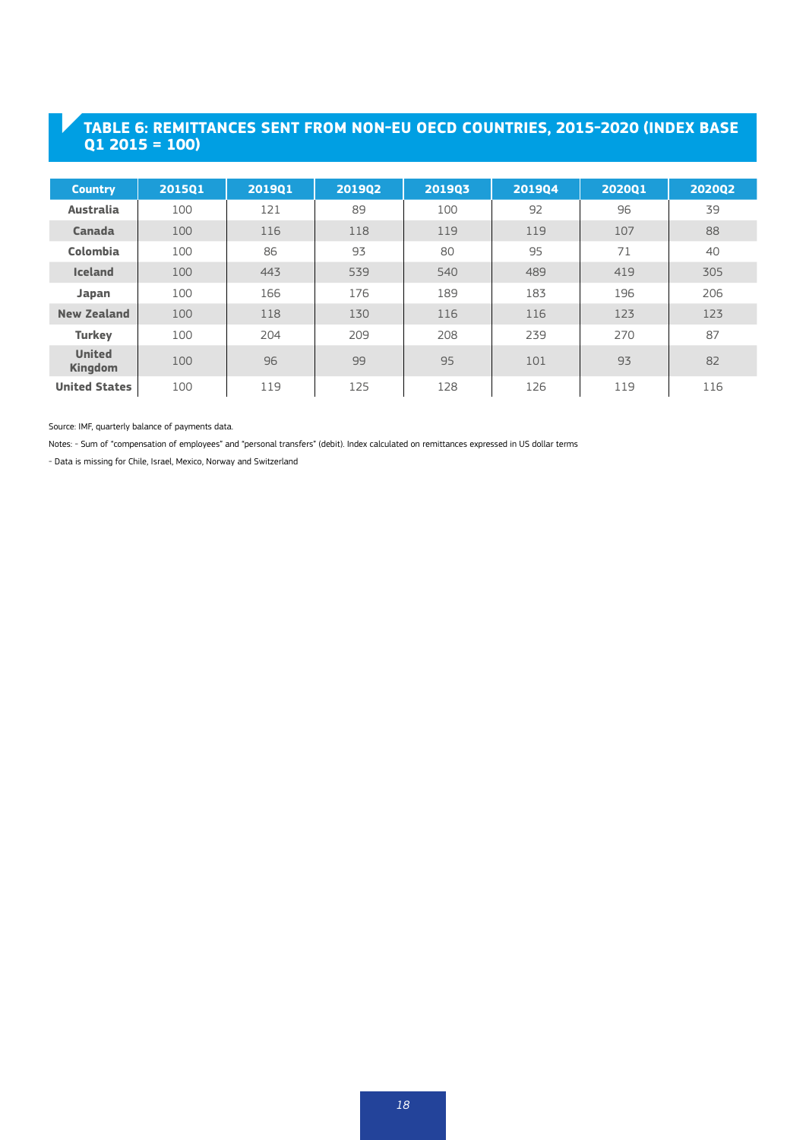## **TABLE 6: REMITTANCES SENT FROM NON-EU OECD COUNTRIES, 2015-2020 (INDEX BASE Q1 2015 = 100)**

| <b>Country</b>                  | 201501 | 201901 | 201902 | 201903 | 201904 | 202001 | 202002 |
|---------------------------------|--------|--------|--------|--------|--------|--------|--------|
| <b>Australia</b>                | 100    | 121    | 89     | 100    | 92     | 96     | 39     |
| Canada                          | 100    | 116    | 118    | 119    | 119    | 107    | 88     |
| Colombia                        | 100    | 86     | 93     | 80     | 95     | 71     | 40     |
| <b>Iceland</b>                  | 100    | 443    | 539    | 540    | 489    | 419    | 305    |
| Japan                           | 100    | 166    | 176    | 189    | 183    | 196    | 206    |
| <b>New Zealand</b>              | 100    | 118    | 130    | 116    | 116    | 123    | 123    |
| <b>Turkey</b>                   | 100    | 204    | 209    | 208    | 239    | 270    | 87     |
| <b>United</b><br><b>Kingdom</b> | 100    | 96     | 99     | 95     | 101    | 93     | 82     |
| <b>United States</b>            | 100    | 119    | 125    | 128    | 126    | 119    | 116    |

Source: IMF, quarterly balance of payments data.

Notes: - Sum of "compensation of employees" and "personal transfers" (debit). Index calculated on remittances expressed in US dollar terms

- Data is missing for Chile, Israel, Mexico, Norway and Switzerland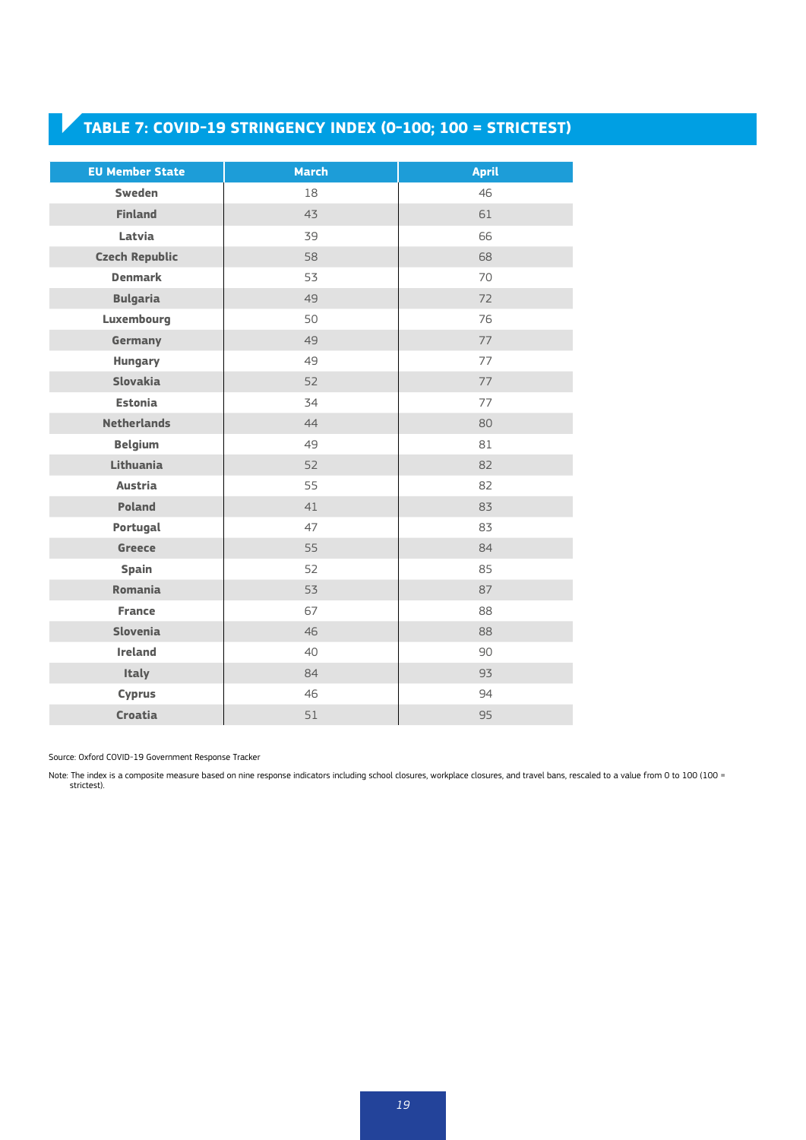## **TABLE 7: COVID-19 STRINGENCY INDEX (0-100; 100 = STRICTEST)**

| <b>EU Member State</b> | <b>March</b> | <b>April</b> |
|------------------------|--------------|--------------|
| <b>Sweden</b>          | 18           | 46           |
| <b>Finland</b>         | 43           | 61           |
| Latvia                 | 39           | 66           |
| <b>Czech Republic</b>  | 58           | 68           |
| <b>Denmark</b>         | 53           | 70           |
| <b>Bulgaria</b>        | 49           | 72           |
| Luxembourg             | 50           | 76           |
| Germany                | 49           | 77           |
| <b>Hungary</b>         | 49           | 77           |
| <b>Slovakia</b>        | 52           | 77           |
| <b>Estonia</b>         | 34           | 77           |
| <b>Netherlands</b>     | 44           | 80           |
| <b>Belgium</b>         | 49           | 81           |
| Lithuania              | 52           | 82           |
| <b>Austria</b>         | 55           | 82           |
| <b>Poland</b>          | 41           | 83           |
| Portugal               | 47           | 83           |
| <b>Greece</b>          | 55           | 84           |
| <b>Spain</b>           | 52           | 85           |
| <b>Romania</b>         | 53           | 87           |
| <b>France</b>          | 67           | 88           |
| Slovenia               | 46           | 88           |
| <b>Ireland</b>         | 40           | 90           |
| <b>Italy</b>           | 84           | 93           |
| <b>Cyprus</b>          | 46           | 94           |
| <b>Croatia</b>         | 51           | 95           |

Source: Oxford COVID-19 Government Response Tracker

Note: The index is a composite measure based on nine response indicators including school closures, workplace closures, and travel bans, rescaled to a value from 0 to 100 (100 = strictest).